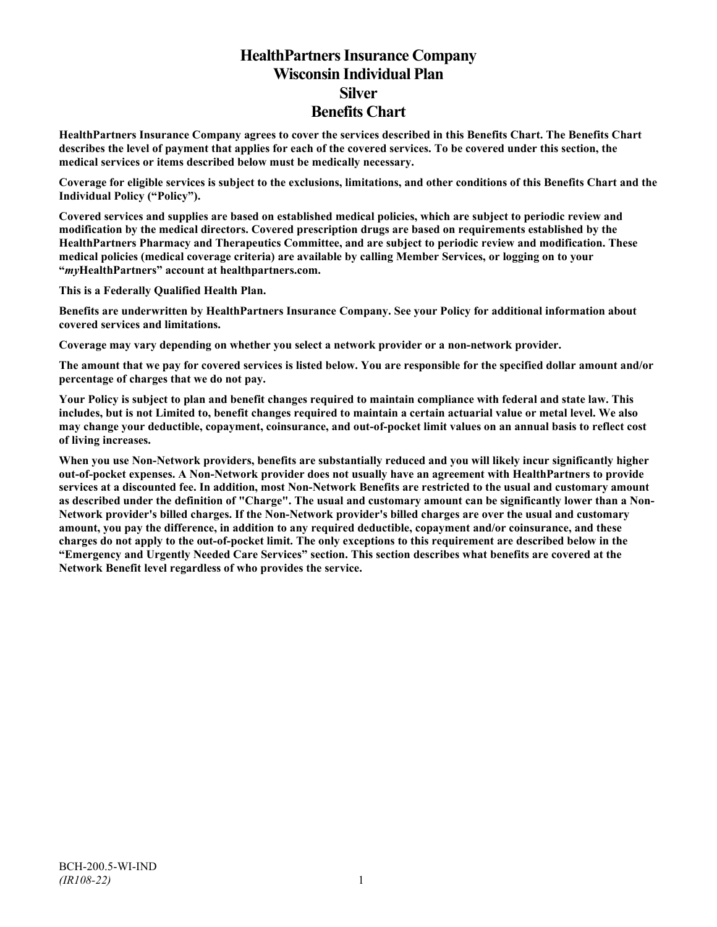# **HealthPartners Insurance Company Wisconsin Individual Plan Silver Benefits Chart**

**HealthPartners Insurance Company agrees to cover the services described in this Benefits Chart. The Benefits Chart describes the level of payment that applies for each of the covered services. To be covered under this section, the medical services or items described below must be medically necessary.**

**Coverage for eligible services is subject to the exclusions, limitations, and other conditions of this Benefits Chart and the Individual Policy ("Policy").**

**Covered services and supplies are based on established medical policies, which are subject to periodic review and modification by the medical directors. Covered prescription drugs are based on requirements established by the HealthPartners Pharmacy and Therapeutics Committee, and are subject to periodic review and modification. These medical policies (medical coverage criteria) are available by calling Member Services, or logging on to your "***my***HealthPartners" account at [healthpartners.com.](http://www.healthpartners.com/)**

**This is a Federally Qualified Health Plan.**

**Benefits are underwritten by HealthPartners Insurance Company. See your Policy for additional information about covered services and limitations.**

**Coverage may vary depending on whether you select a network provider or a non-network provider.**

**The amount that we pay for covered services is listed below. You are responsible for the specified dollar amount and/or percentage of charges that we do not pay.**

**Your Policy is subject to plan and benefit changes required to maintain compliance with federal and state law. This includes, but is not Limited to, benefit changes required to maintain a certain actuarial value or metal level. We also may change your deductible, copayment, coinsurance, and out-of-pocket limit values on an annual basis to reflect cost of living increases.**

**When you use Non-Network providers, benefits are substantially reduced and you will likely incur significantly higher out-of-pocket expenses. A Non-Network provider does not usually have an agreement with HealthPartners to provide services at a discounted fee. In addition, most Non-Network Benefits are restricted to the usual and customary amount as described under the definition of "Charge". The usual and customary amount can be significantly lower than a Non-Network provider's billed charges. If the Non-Network provider's billed charges are over the usual and customary amount, you pay the difference, in addition to any required deductible, copayment and/or coinsurance, and these charges do not apply to the out-of-pocket limit. The only exceptions to this requirement are described below in the "Emergency and Urgently Needed Care Services" section. This section describes what benefits are covered at the Network Benefit level regardless of who provides the service.**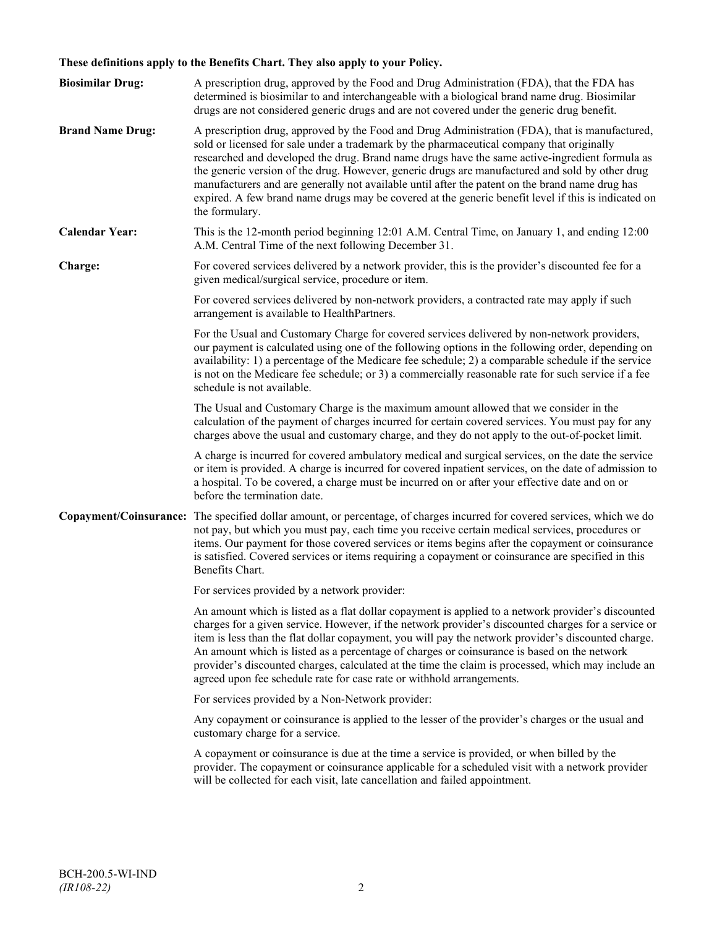## **These definitions apply to the Benefits Chart. They also apply to your Policy.**

| <b>Biosimilar Drug:</b> | A prescription drug, approved by the Food and Drug Administration (FDA), that the FDA has<br>determined is biosimilar to and interchangeable with a biological brand name drug. Biosimilar<br>drugs are not considered generic drugs and are not covered under the generic drug benefit.                                                                                                                                                                                                                                                                                                                                     |
|-------------------------|------------------------------------------------------------------------------------------------------------------------------------------------------------------------------------------------------------------------------------------------------------------------------------------------------------------------------------------------------------------------------------------------------------------------------------------------------------------------------------------------------------------------------------------------------------------------------------------------------------------------------|
| <b>Brand Name Drug:</b> | A prescription drug, approved by the Food and Drug Administration (FDA), that is manufactured,<br>sold or licensed for sale under a trademark by the pharmaceutical company that originally<br>researched and developed the drug. Brand name drugs have the same active-ingredient formula as<br>the generic version of the drug. However, generic drugs are manufactured and sold by other drug<br>manufacturers and are generally not available until after the patent on the brand name drug has<br>expired. A few brand name drugs may be covered at the generic benefit level if this is indicated on<br>the formulary. |
| <b>Calendar Year:</b>   | This is the 12-month period beginning 12:01 A.M. Central Time, on January 1, and ending 12:00<br>A.M. Central Time of the next following December 31.                                                                                                                                                                                                                                                                                                                                                                                                                                                                        |
| Charge:                 | For covered services delivered by a network provider, this is the provider's discounted fee for a<br>given medical/surgical service, procedure or item.                                                                                                                                                                                                                                                                                                                                                                                                                                                                      |
|                         | For covered services delivered by non-network providers, a contracted rate may apply if such<br>arrangement is available to HealthPartners.                                                                                                                                                                                                                                                                                                                                                                                                                                                                                  |
|                         | For the Usual and Customary Charge for covered services delivered by non-network providers,<br>our payment is calculated using one of the following options in the following order, depending on<br>availability: 1) a percentage of the Medicare fee schedule; 2) a comparable schedule if the service<br>is not on the Medicare fee schedule; or 3) a commercially reasonable rate for such service if a fee<br>schedule is not available.                                                                                                                                                                                 |
|                         | The Usual and Customary Charge is the maximum amount allowed that we consider in the<br>calculation of the payment of charges incurred for certain covered services. You must pay for any<br>charges above the usual and customary charge, and they do not apply to the out-of-pocket limit.                                                                                                                                                                                                                                                                                                                                 |
|                         | A charge is incurred for covered ambulatory medical and surgical services, on the date the service<br>or item is provided. A charge is incurred for covered inpatient services, on the date of admission to<br>a hospital. To be covered, a charge must be incurred on or after your effective date and on or<br>before the termination date.                                                                                                                                                                                                                                                                                |
|                         | Copayment/Coinsurance: The specified dollar amount, or percentage, of charges incurred for covered services, which we do<br>not pay, but which you must pay, each time you receive certain medical services, procedures or<br>items. Our payment for those covered services or items begins after the copayment or coinsurance<br>is satisfied. Covered services or items requiring a copayment or coinsurance are specified in this<br>Benefits Chart.                                                                                                                                                                      |
|                         | For services provided by a network provider:                                                                                                                                                                                                                                                                                                                                                                                                                                                                                                                                                                                 |
|                         | An amount which is listed as a flat dollar copayment is applied to a network provider's discounted<br>charges for a given service. However, if the network provider's discounted charges for a service or<br>item is less than the flat dollar copayment, you will pay the network provider's discounted charge.<br>An amount which is listed as a percentage of charges or coinsurance is based on the network<br>provider's discounted charges, calculated at the time the claim is processed, which may include an<br>agreed upon fee schedule rate for case rate or withhold arrangements.                               |
|                         | For services provided by a Non-Network provider:                                                                                                                                                                                                                                                                                                                                                                                                                                                                                                                                                                             |
|                         | Any copayment or coinsurance is applied to the lesser of the provider's charges or the usual and<br>customary charge for a service.                                                                                                                                                                                                                                                                                                                                                                                                                                                                                          |
|                         | A copayment or coinsurance is due at the time a service is provided, or when billed by the<br>provider. The copayment or coinsurance applicable for a scheduled visit with a network provider<br>will be collected for each visit, late cancellation and failed appointment.                                                                                                                                                                                                                                                                                                                                                 |
|                         |                                                                                                                                                                                                                                                                                                                                                                                                                                                                                                                                                                                                                              |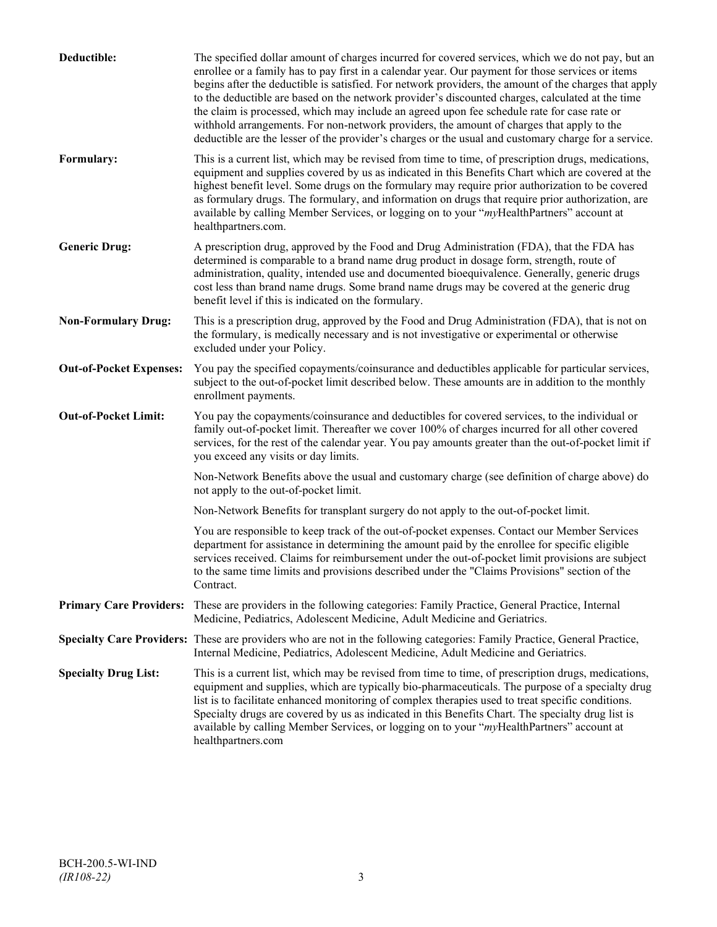| Deductible:                    | The specified dollar amount of charges incurred for covered services, which we do not pay, but an<br>enrollee or a family has to pay first in a calendar year. Our payment for those services or items<br>begins after the deductible is satisfied. For network providers, the amount of the charges that apply<br>to the deductible are based on the network provider's discounted charges, calculated at the time<br>the claim is processed, which may include an agreed upon fee schedule rate for case rate or<br>withhold arrangements. For non-network providers, the amount of charges that apply to the<br>deductible are the lesser of the provider's charges or the usual and customary charge for a service. |
|--------------------------------|-------------------------------------------------------------------------------------------------------------------------------------------------------------------------------------------------------------------------------------------------------------------------------------------------------------------------------------------------------------------------------------------------------------------------------------------------------------------------------------------------------------------------------------------------------------------------------------------------------------------------------------------------------------------------------------------------------------------------|
| Formulary:                     | This is a current list, which may be revised from time to time, of prescription drugs, medications,<br>equipment and supplies covered by us as indicated in this Benefits Chart which are covered at the<br>highest benefit level. Some drugs on the formulary may require prior authorization to be covered<br>as formulary drugs. The formulary, and information on drugs that require prior authorization, are<br>available by calling Member Services, or logging on to your "myHealthPartners" account at<br>healthpartners.com.                                                                                                                                                                                   |
| <b>Generic Drug:</b>           | A prescription drug, approved by the Food and Drug Administration (FDA), that the FDA has<br>determined is comparable to a brand name drug product in dosage form, strength, route of<br>administration, quality, intended use and documented bioequivalence. Generally, generic drugs<br>cost less than brand name drugs. Some brand name drugs may be covered at the generic drug<br>benefit level if this is indicated on the formulary.                                                                                                                                                                                                                                                                             |
| <b>Non-Formulary Drug:</b>     | This is a prescription drug, approved by the Food and Drug Administration (FDA), that is not on<br>the formulary, is medically necessary and is not investigative or experimental or otherwise<br>excluded under your Policy.                                                                                                                                                                                                                                                                                                                                                                                                                                                                                           |
| <b>Out-of-Pocket Expenses:</b> | You pay the specified copayments/coinsurance and deductibles applicable for particular services,<br>subject to the out-of-pocket limit described below. These amounts are in addition to the monthly<br>enrollment payments.                                                                                                                                                                                                                                                                                                                                                                                                                                                                                            |
| <b>Out-of-Pocket Limit:</b>    | You pay the copayments/coinsurance and deductibles for covered services, to the individual or<br>family out-of-pocket limit. Thereafter we cover 100% of charges incurred for all other covered<br>services, for the rest of the calendar year. You pay amounts greater than the out-of-pocket limit if<br>you exceed any visits or day limits.                                                                                                                                                                                                                                                                                                                                                                         |
|                                | Non-Network Benefits above the usual and customary charge (see definition of charge above) do<br>not apply to the out-of-pocket limit.                                                                                                                                                                                                                                                                                                                                                                                                                                                                                                                                                                                  |
|                                | Non-Network Benefits for transplant surgery do not apply to the out-of-pocket limit.                                                                                                                                                                                                                                                                                                                                                                                                                                                                                                                                                                                                                                    |
|                                | You are responsible to keep track of the out-of-pocket expenses. Contact our Member Services<br>department for assistance in determining the amount paid by the enrollee for specific eligible<br>services received. Claims for reimbursement under the out-of-pocket limit provisions are subject<br>to the same time limits and provisions described under the "Claims Provisions" section of the<br>Contract.                                                                                                                                                                                                                                                                                                        |
| <b>Primary Care Providers:</b> | These are providers in the following categories: Family Practice, General Practice, Internal<br>Medicine, Pediatrics, Adolescent Medicine, Adult Medicine and Geriatrics.                                                                                                                                                                                                                                                                                                                                                                                                                                                                                                                                               |
|                                | Specialty Care Providers: These are providers who are not in the following categories: Family Practice, General Practice,<br>Internal Medicine, Pediatrics, Adolescent Medicine, Adult Medicine and Geriatrics.                                                                                                                                                                                                                                                                                                                                                                                                                                                                                                         |
| <b>Specialty Drug List:</b>    | This is a current list, which may be revised from time to time, of prescription drugs, medications,<br>equipment and supplies, which are typically bio-pharmaceuticals. The purpose of a specialty drug<br>list is to facilitate enhanced monitoring of complex therapies used to treat specific conditions.<br>Specialty drugs are covered by us as indicated in this Benefits Chart. The specialty drug list is<br>available by calling Member Services, or logging on to your "myHealthPartners" account at<br>healthpartners.com                                                                                                                                                                                    |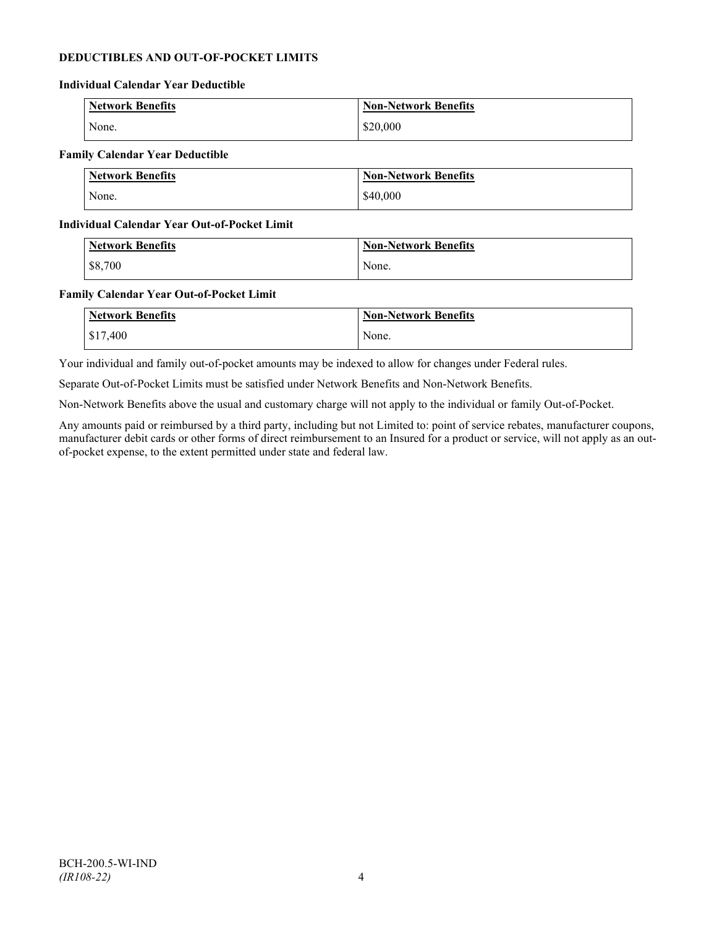## **DEDUCTIBLES AND OUT-OF-POCKET LIMITS**

#### **Individual Calendar Year Deductible**

| Network Benefits | <b>Non-Network Benefits</b> |
|------------------|-----------------------------|
| None.            | \$20,000                    |

## **Family Calendar Year Deductible**

| Network Benefits | <b>Non-Network Benefits</b> |
|------------------|-----------------------------|
| None.            | \$40,000                    |

### **Individual Calendar Year Out-of-Pocket Limit**

| <b>Network Benefits</b> | <b>Non-Network Benefits</b> |
|-------------------------|-----------------------------|
| \$8,700                 | None.                       |

### **Family Calendar Year Out-of-Pocket Limit**

| <b>Network Benefits</b> | <b>Non-Network Benefits</b> |
|-------------------------|-----------------------------|
| \$17,400                | None.                       |

Your individual and family out-of-pocket amounts may be indexed to allow for changes under Federal rules.

Separate Out-of-Pocket Limits must be satisfied under Network Benefits and Non-Network Benefits.

Non-Network Benefits above the usual and customary charge will not apply to the individual or family Out-of-Pocket.

Any amounts paid or reimbursed by a third party, including but not Limited to: point of service rebates, manufacturer coupons, manufacturer debit cards or other forms of direct reimbursement to an Insured for a product or service, will not apply as an outof-pocket expense, to the extent permitted under state and federal law.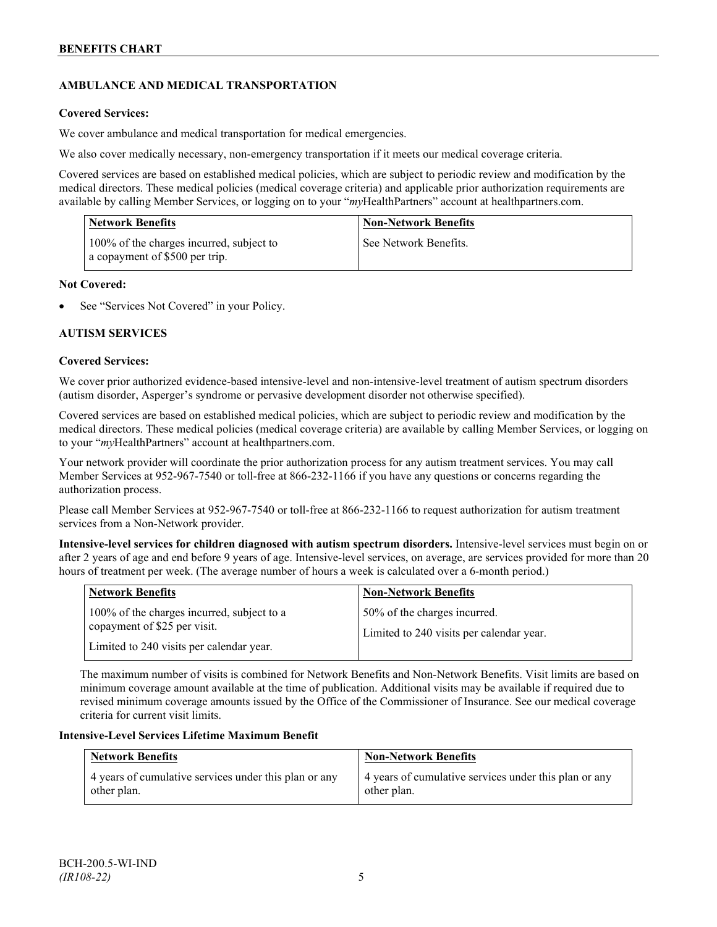## **AMBULANCE AND MEDICAL TRANSPORTATION**

## **Covered Services:**

We cover ambulance and medical transportation for medical emergencies.

We also cover medically necessary, non-emergency transportation if it meets our medical coverage criteria.

Covered services are based on established medical policies, which are subject to periodic review and modification by the medical directors. These medical policies (medical coverage criteria) and applicable prior authorization requirements are available by calling Member Services, or logging on to your "*my*HealthPartners" account a[t healthpartners.com.](http://www.healthpartners.com/)

| <b>Network Benefits</b>                                                    | <b>Non-Network Benefits</b> |
|----------------------------------------------------------------------------|-----------------------------|
| 100% of the charges incurred, subject to<br>a copayment of \$500 per trip. | See Network Benefits.       |

## **Not Covered:**

See "Services Not Covered" in your Policy.

## **AUTISM SERVICES**

## **Covered Services:**

We cover prior authorized evidence-based intensive-level and non-intensive-level treatment of autism spectrum disorders (autism disorder, Asperger's syndrome or pervasive development disorder not otherwise specified).

Covered services are based on established medical policies, which are subject to periodic review and modification by the medical directors. These medical policies (medical coverage criteria) are available by calling Member Services, or logging on to your "*my*HealthPartners" account at [healthpartners.com.](http://www.healthpartners.com/)

Your network provider will coordinate the prior authorization process for any autism treatment services. You may call Member Services at 952-967-7540 or toll-free at 866-232-1166 if you have any questions or concerns regarding the authorization process.

Please call Member Services at 952-967-7540 or toll-free at 866-232-1166 to request authorization for autism treatment services from a Non-Network provider.

**Intensive-level services for children diagnosed with autism spectrum disorders.** Intensive-level services must begin on or after 2 years of age and end before 9 years of age. Intensive-level services, on average, are services provided for more than 20 hours of treatment per week. (The average number of hours a week is calculated over a 6-month period.)

| <b>Network Benefits</b>                                                                                                | <b>Non-Network Benefits</b>                                              |
|------------------------------------------------------------------------------------------------------------------------|--------------------------------------------------------------------------|
| 100% of the charges incurred, subject to a<br>copayment of \$25 per visit.<br>Limited to 240 visits per calendar year. | 50% of the charges incurred.<br>Limited to 240 visits per calendar year. |

The maximum number of visits is combined for Network Benefits and Non-Network Benefits. Visit limits are based on minimum coverage amount available at the time of publication. Additional visits may be available if required due to revised minimum coverage amounts issued by the Office of the Commissioner of Insurance. See our medical coverage criteria for current visit limits.

## **Intensive-Level Services Lifetime Maximum Benefit**

| <b>Network Benefits</b>                               | <b>Non-Network Benefits</b>                           |
|-------------------------------------------------------|-------------------------------------------------------|
| 4 years of cumulative services under this plan or any | 4 years of cumulative services under this plan or any |
| other plan.                                           | other plan.                                           |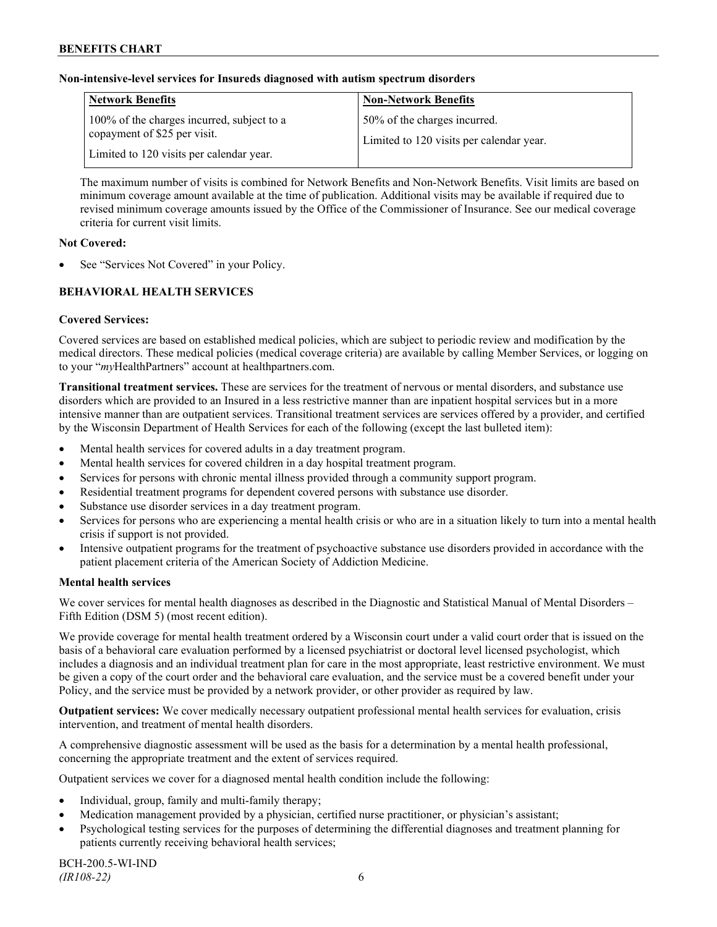## **Non-intensive-level services for Insureds diagnosed with autism spectrum disorders**

| <b>Network Benefits</b>                                                                                                | <b>Non-Network Benefits</b>                                              |
|------------------------------------------------------------------------------------------------------------------------|--------------------------------------------------------------------------|
| 100% of the charges incurred, subject to a<br>copayment of \$25 per visit.<br>Limited to 120 visits per calendar year. | 50% of the charges incurred.<br>Limited to 120 visits per calendar year. |

The maximum number of visits is combined for Network Benefits and Non-Network Benefits. Visit limits are based on minimum coverage amount available at the time of publication. Additional visits may be available if required due to revised minimum coverage amounts issued by the Office of the Commissioner of Insurance. See our medical coverage criteria for current visit limits.

## **Not Covered:**

See "Services Not Covered" in your Policy.

## **BEHAVIORAL HEALTH SERVICES**

## **Covered Services:**

Covered services are based on established medical policies, which are subject to periodic review and modification by the medical directors. These medical policies (medical coverage criteria) are available by calling Member Services, or logging on to your "*my*HealthPartners" account at [healthpartners.com.](http://www.healthpartners.com/)

**Transitional treatment services.** These are services for the treatment of nervous or mental disorders, and substance use disorders which are provided to an Insured in a less restrictive manner than are inpatient hospital services but in a more intensive manner than are outpatient services. Transitional treatment services are services offered by a provider, and certified by the Wisconsin Department of Health Services for each of the following (except the last bulleted item):

- Mental health services for covered adults in a day treatment program.
- Mental health services for covered children in a day hospital treatment program.
- Services for persons with chronic mental illness provided through a community support program.
- Residential treatment programs for dependent covered persons with substance use disorder.
- Substance use disorder services in a day treatment program.
- Services for persons who are experiencing a mental health crisis or who are in a situation likely to turn into a mental health crisis if support is not provided.
- Intensive outpatient programs for the treatment of psychoactive substance use disorders provided in accordance with the patient placement criteria of the American Society of Addiction Medicine.

## **Mental health services**

We cover services for mental health diagnoses as described in the Diagnostic and Statistical Manual of Mental Disorders – Fifth Edition (DSM 5) (most recent edition).

We provide coverage for mental health treatment ordered by a Wisconsin court under a valid court order that is issued on the basis of a behavioral care evaluation performed by a licensed psychiatrist or doctoral level licensed psychologist, which includes a diagnosis and an individual treatment plan for care in the most appropriate, least restrictive environment. We must be given a copy of the court order and the behavioral care evaluation, and the service must be a covered benefit under your Policy, and the service must be provided by a network provider, or other provider as required by law.

**Outpatient services:** We cover medically necessary outpatient professional mental health services for evaluation, crisis intervention, and treatment of mental health disorders.

A comprehensive diagnostic assessment will be used as the basis for a determination by a mental health professional, concerning the appropriate treatment and the extent of services required.

Outpatient services we cover for a diagnosed mental health condition include the following:

- Individual, group, family and multi-family therapy;
- Medication management provided by a physician, certified nurse practitioner, or physician's assistant;
- Psychological testing services for the purposes of determining the differential diagnoses and treatment planning for patients currently receiving behavioral health services;

BCH-200.5-WI-IND *(IR108-22)* 6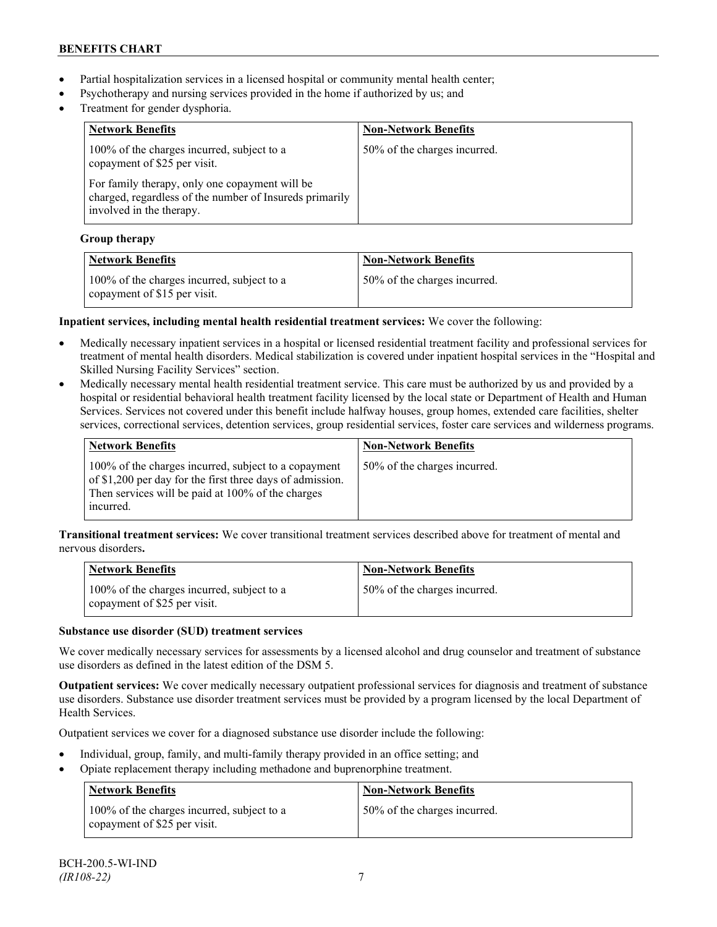- Partial hospitalization services in a licensed hospital or community mental health center;
- Psychotherapy and nursing services provided in the home if authorized by us; and
- Treatment for gender dysphoria.

| <b>Network Benefits</b>                                                                                                               | <b>Non-Network Benefits</b>  |
|---------------------------------------------------------------------------------------------------------------------------------------|------------------------------|
| 100% of the charges incurred, subject to a<br>copayment of \$25 per visit.                                                            | 50% of the charges incurred. |
| For family therapy, only one copayment will be<br>charged, regardless of the number of Insureds primarily<br>involved in the therapy. |                              |

## **Group therapy**

| <b>Network Benefits</b>                                                    | <b>Non-Network Benefits</b>  |
|----------------------------------------------------------------------------|------------------------------|
| 100% of the charges incurred, subject to a<br>copayment of \$15 per visit. | 50% of the charges incurred. |

## **Inpatient services, including mental health residential treatment services:** We cover the following:

- Medically necessary inpatient services in a hospital or licensed residential treatment facility and professional services for treatment of mental health disorders. Medical stabilization is covered under inpatient hospital services in the "Hospital and Skilled Nursing Facility Services" section.
- Medically necessary mental health residential treatment service. This care must be authorized by us and provided by a hospital or residential behavioral health treatment facility licensed by the local state or Department of Health and Human Services. Services not covered under this benefit include halfway houses, group homes, extended care facilities, shelter services, correctional services, detention services, group residential services, foster care services and wilderness programs.

| Network Benefits                                                                                                                                                                    | <b>Non-Network Benefits</b>  |
|-------------------------------------------------------------------------------------------------------------------------------------------------------------------------------------|------------------------------|
| 100% of the charges incurred, subject to a copayment<br>of \$1,200 per day for the first three days of admission.<br>Then services will be paid at 100% of the charges<br>incurred. | 50% of the charges incurred. |

**Transitional treatment services:** We cover transitional treatment services described above for treatment of mental and nervous disorders**.**

| <b>Network Benefits</b>                                                    | <b>Non-Network Benefits</b>  |
|----------------------------------------------------------------------------|------------------------------|
| 100% of the charges incurred, subject to a<br>copayment of \$25 per visit. | 50% of the charges incurred. |

## **Substance use disorder (SUD) treatment services**

We cover medically necessary services for assessments by a licensed alcohol and drug counselor and treatment of substance use disorders as defined in the latest edition of the DSM 5.

**Outpatient services:** We cover medically necessary outpatient professional services for diagnosis and treatment of substance use disorders. Substance use disorder treatment services must be provided by a program licensed by the local Department of Health Services.

Outpatient services we cover for a diagnosed substance use disorder include the following:

- Individual, group, family, and multi-family therapy provided in an office setting; and
- Opiate replacement therapy including methadone and buprenorphine treatment.

| <b>Network Benefits</b>                                                    | <b>Non-Network Benefits</b>  |
|----------------------------------------------------------------------------|------------------------------|
| 100% of the charges incurred, subject to a<br>copayment of \$25 per visit. | 50% of the charges incurred. |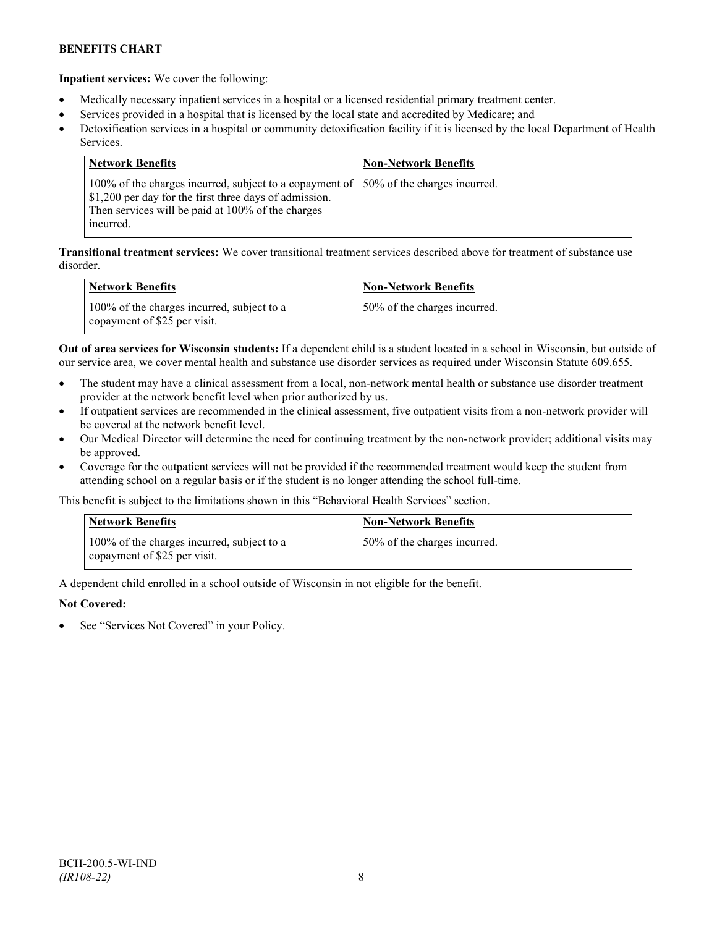**Inpatient services:** We cover the following:

- Medically necessary inpatient services in a hospital or a licensed residential primary treatment center.
- Services provided in a hospital that is licensed by the local state and accredited by Medicare; and
- Detoxification services in a hospital or community detoxification facility if it is licensed by the local Department of Health Services.

| <b>Network Benefits</b>                                                                                                                                                                                            | <b>Non-Network Benefits</b> |
|--------------------------------------------------------------------------------------------------------------------------------------------------------------------------------------------------------------------|-----------------------------|
| 100% of the charges incurred, subject to a copayment of   50% of the charges incurred.<br>\$1,200 per day for the first three days of admission.<br>Then services will be paid at 100% of the charges<br>incurred. |                             |

**Transitional treatment services:** We cover transitional treatment services described above for treatment of substance use disorder.

| <b>Network Benefits</b>                                                    | <b>Non-Network Benefits</b>  |
|----------------------------------------------------------------------------|------------------------------|
| 100% of the charges incurred, subject to a<br>copayment of \$25 per visit. | 50% of the charges incurred. |

**Out of area services for Wisconsin students:** If a dependent child is a student located in a school in Wisconsin, but outside of our service area, we cover mental health and substance use disorder services as required under Wisconsin Statute 609.655.

- The student may have a clinical assessment from a local, non-network mental health or substance use disorder treatment provider at the network benefit level when prior authorized by us.
- If outpatient services are recommended in the clinical assessment, five outpatient visits from a non-network provider will be covered at the network benefit level.
- Our Medical Director will determine the need for continuing treatment by the non-network provider; additional visits may be approved.
- Coverage for the outpatient services will not be provided if the recommended treatment would keep the student from attending school on a regular basis or if the student is no longer attending the school full-time.

This benefit is subject to the limitations shown in this "Behavioral Health Services" section.

| <b>Network Benefits</b>                                                    | <b>Non-Network Benefits</b>  |
|----------------------------------------------------------------------------|------------------------------|
| 100% of the charges incurred, subject to a<br>copayment of \$25 per visit. | 50% of the charges incurred. |

A dependent child enrolled in a school outside of Wisconsin in not eligible for the benefit.

## **Not Covered:**

See "Services Not Covered" in your Policy.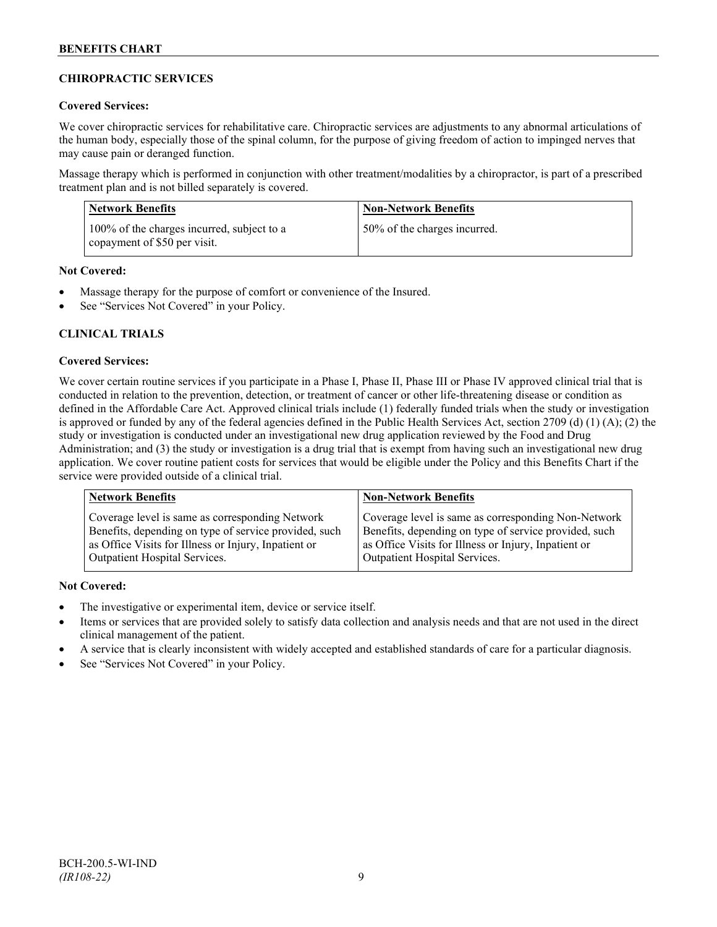## **CHIROPRACTIC SERVICES**

## **Covered Services:**

We cover chiropractic services for rehabilitative care. Chiropractic services are adjustments to any abnormal articulations of the human body, especially those of the spinal column, for the purpose of giving freedom of action to impinged nerves that may cause pain or deranged function.

Massage therapy which is performed in conjunction with other treatment/modalities by a chiropractor, is part of a prescribed treatment plan and is not billed separately is covered.

| Network Benefits                                                           | <b>Non-Network Benefits</b>  |
|----------------------------------------------------------------------------|------------------------------|
| 100% of the charges incurred, subject to a<br>copayment of \$50 per visit. | 50% of the charges incurred. |

## **Not Covered:**

- Massage therapy for the purpose of comfort or convenience of the Insured.
- See "Services Not Covered" in your Policy.

## **CLINICAL TRIALS**

### **Covered Services:**

We cover certain routine services if you participate in a Phase I, Phase II, Phase III or Phase IV approved clinical trial that is conducted in relation to the prevention, detection, or treatment of cancer or other life-threatening disease or condition as defined in the Affordable Care Act. Approved clinical trials include (1) federally funded trials when the study or investigation is approved or funded by any of the federal agencies defined in the Public Health Services Act, section 2709 (d) (1) (A); (2) the study or investigation is conducted under an investigational new drug application reviewed by the Food and Drug Administration; and (3) the study or investigation is a drug trial that is exempt from having such an investigational new drug application. We cover routine patient costs for services that would be eligible under the Policy and this Benefits Chart if the service were provided outside of a clinical trial.

| <b>Network Benefits</b>                               | <b>Non-Network Benefits</b>                           |
|-------------------------------------------------------|-------------------------------------------------------|
| Coverage level is same as corresponding Network       | Coverage level is same as corresponding Non-Network   |
| Benefits, depending on type of service provided, such | Benefits, depending on type of service provided, such |
| as Office Visits for Illness or Injury, Inpatient or  | as Office Visits for Illness or Injury, Inpatient or  |
| Outpatient Hospital Services.                         | Outpatient Hospital Services.                         |

## **Not Covered:**

- The investigative or experimental item, device or service itself.
- Items or services that are provided solely to satisfy data collection and analysis needs and that are not used in the direct clinical management of the patient.
- A service that is clearly inconsistent with widely accepted and established standards of care for a particular diagnosis.
- See "Services Not Covered" in your Policy.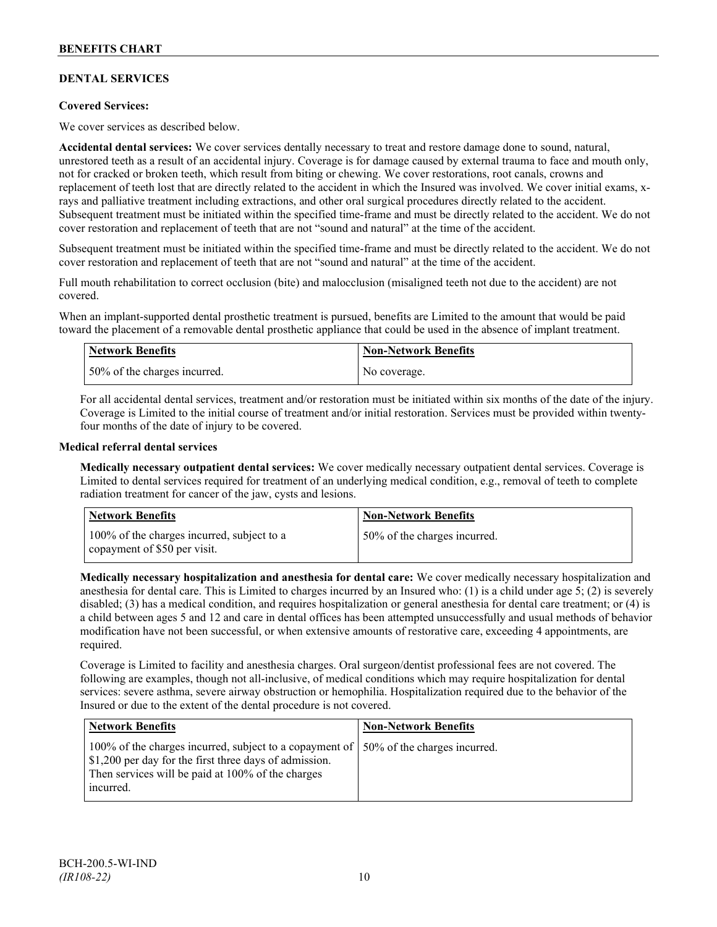## **DENTAL SERVICES**

## **Covered Services:**

We cover services as described below.

**Accidental dental services:** We cover services dentally necessary to treat and restore damage done to sound, natural, unrestored teeth as a result of an accidental injury. Coverage is for damage caused by external trauma to face and mouth only, not for cracked or broken teeth, which result from biting or chewing. We cover restorations, root canals, crowns and replacement of teeth lost that are directly related to the accident in which the Insured was involved. We cover initial exams, xrays and palliative treatment including extractions, and other oral surgical procedures directly related to the accident. Subsequent treatment must be initiated within the specified time-frame and must be directly related to the accident. We do not cover restoration and replacement of teeth that are not "sound and natural" at the time of the accident.

Subsequent treatment must be initiated within the specified time-frame and must be directly related to the accident. We do not cover restoration and replacement of teeth that are not "sound and natural" at the time of the accident.

Full mouth rehabilitation to correct occlusion (bite) and malocclusion (misaligned teeth not due to the accident) are not covered.

When an implant-supported dental prosthetic treatment is pursued, benefits are Limited to the amount that would be paid toward the placement of a removable dental prosthetic appliance that could be used in the absence of implant treatment.

| <b>Network Benefits</b>      | <b>Non-Network Benefits</b> |
|------------------------------|-----------------------------|
| 50% of the charges incurred. | No coverage.                |

For all accidental dental services, treatment and/or restoration must be initiated within six months of the date of the injury. Coverage is Limited to the initial course of treatment and/or initial restoration. Services must be provided within twentyfour months of the date of injury to be covered.

### **Medical referral dental services**

**Medically necessary outpatient dental services:** We cover medically necessary outpatient dental services. Coverage is Limited to dental services required for treatment of an underlying medical condition, e.g., removal of teeth to complete radiation treatment for cancer of the jaw, cysts and lesions.

| Network Benefits                                                           | <b>Non-Network Benefits</b>  |
|----------------------------------------------------------------------------|------------------------------|
| 100% of the charges incurred, subject to a<br>copayment of \$50 per visit. | 50% of the charges incurred. |

**Medically necessary hospitalization and anesthesia for dental care:** We cover medically necessary hospitalization and anesthesia for dental care. This is Limited to charges incurred by an Insured who: (1) is a child under age 5; (2) is severely disabled; (3) has a medical condition, and requires hospitalization or general anesthesia for dental care treatment; or (4) is a child between ages 5 and 12 and care in dental offices has been attempted unsuccessfully and usual methods of behavior modification have not been successful, or when extensive amounts of restorative care, exceeding 4 appointments, are required.

Coverage is Limited to facility and anesthesia charges. Oral surgeon/dentist professional fees are not covered. The following are examples, though not all-inclusive, of medical conditions which may require hospitalization for dental services: severe asthma, severe airway obstruction or hemophilia. Hospitalization required due to the behavior of the Insured or due to the extent of the dental procedure is not covered.

| <b>Network Benefits</b>                                                                                                                                                                                            | <b>Non-Network Benefits</b> |
|--------------------------------------------------------------------------------------------------------------------------------------------------------------------------------------------------------------------|-----------------------------|
| 100% of the charges incurred, subject to a copayment of   50% of the charges incurred.<br>\$1,200 per day for the first three days of admission.<br>Then services will be paid at 100% of the charges<br>incurred. |                             |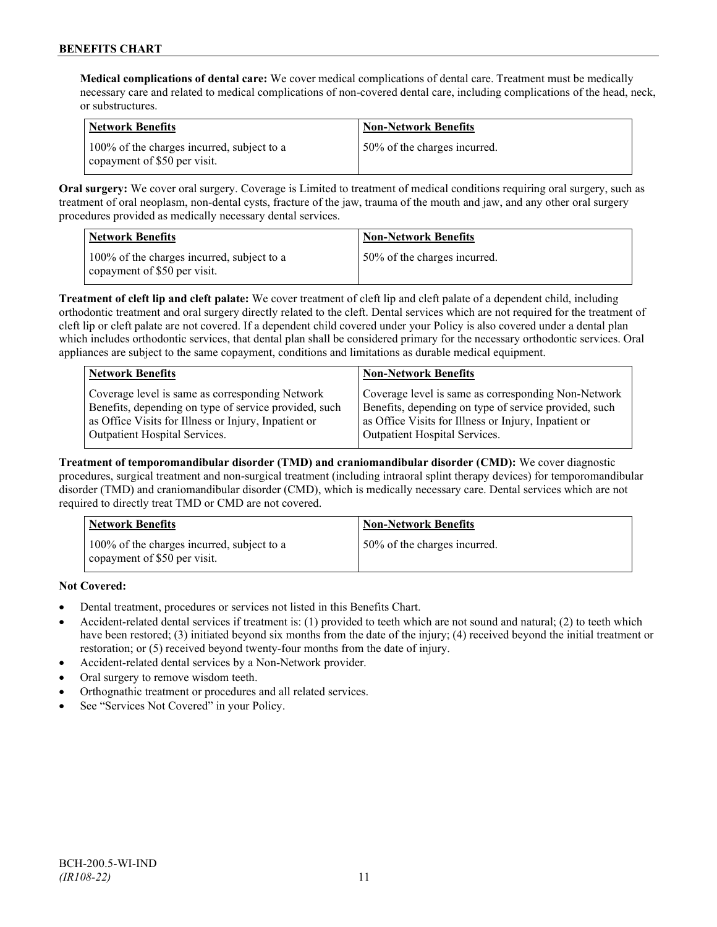**Medical complications of dental care:** We cover medical complications of dental care. Treatment must be medically necessary care and related to medical complications of non-covered dental care, including complications of the head, neck, or substructures.

| Network Benefits                                                           | <b>Non-Network Benefits</b>  |
|----------------------------------------------------------------------------|------------------------------|
| 100% of the charges incurred, subject to a<br>copayment of \$50 per visit. | 50% of the charges incurred. |

**Oral surgery:** We cover oral surgery. Coverage is Limited to treatment of medical conditions requiring oral surgery, such as treatment of oral neoplasm, non-dental cysts, fracture of the jaw, trauma of the mouth and jaw, and any other oral surgery procedures provided as medically necessary dental services.

| Network Benefits                                                           | <b>Non-Network Benefits</b>  |
|----------------------------------------------------------------------------|------------------------------|
| 100% of the charges incurred, subject to a<br>copayment of \$50 per visit. | 50% of the charges incurred. |

**Treatment of cleft lip and cleft palate:** We cover treatment of cleft lip and cleft palate of a dependent child, including orthodontic treatment and oral surgery directly related to the cleft. Dental services which are not required for the treatment of cleft lip or cleft palate are not covered. If a dependent child covered under your Policy is also covered under a dental plan which includes orthodontic services, that dental plan shall be considered primary for the necessary orthodontic services. Oral appliances are subject to the same copayment, conditions and limitations as durable medical equipment.

| <b>Network Benefits</b>                               | <b>Non-Network Benefits</b>                           |
|-------------------------------------------------------|-------------------------------------------------------|
| Coverage level is same as corresponding Network       | Coverage level is same as corresponding Non-Network   |
| Benefits, depending on type of service provided, such | Benefits, depending on type of service provided, such |
| as Office Visits for Illness or Injury, Inpatient or  | as Office Visits for Illness or Injury, Inpatient or  |
| Outpatient Hospital Services.                         | Outpatient Hospital Services.                         |

**Treatment of temporomandibular disorder (TMD) and craniomandibular disorder (CMD):** We cover diagnostic procedures, surgical treatment and non-surgical treatment (including intraoral splint therapy devices) for temporomandibular disorder (TMD) and craniomandibular disorder (CMD), which is medically necessary care. Dental services which are not required to directly treat TMD or CMD are not covered.

| <b>Network Benefits</b>                                                    | <b>Non-Network Benefits</b>  |
|----------------------------------------------------------------------------|------------------------------|
| 100% of the charges incurred, subject to a<br>copayment of \$50 per visit. | 50% of the charges incurred. |

**Not Covered:**

- Dental treatment, procedures or services not listed in this Benefits Chart.
- Accident-related dental services if treatment is: (1) provided to teeth which are not sound and natural; (2) to teeth which have been restored; (3) initiated beyond six months from the date of the injury; (4) received beyond the initial treatment or restoration; or (5) received beyond twenty-four months from the date of injury.
- Accident-related dental services by a Non-Network provider.
- Oral surgery to remove wisdom teeth.
- Orthognathic treatment or procedures and all related services.
- See "Services Not Covered" in your Policy.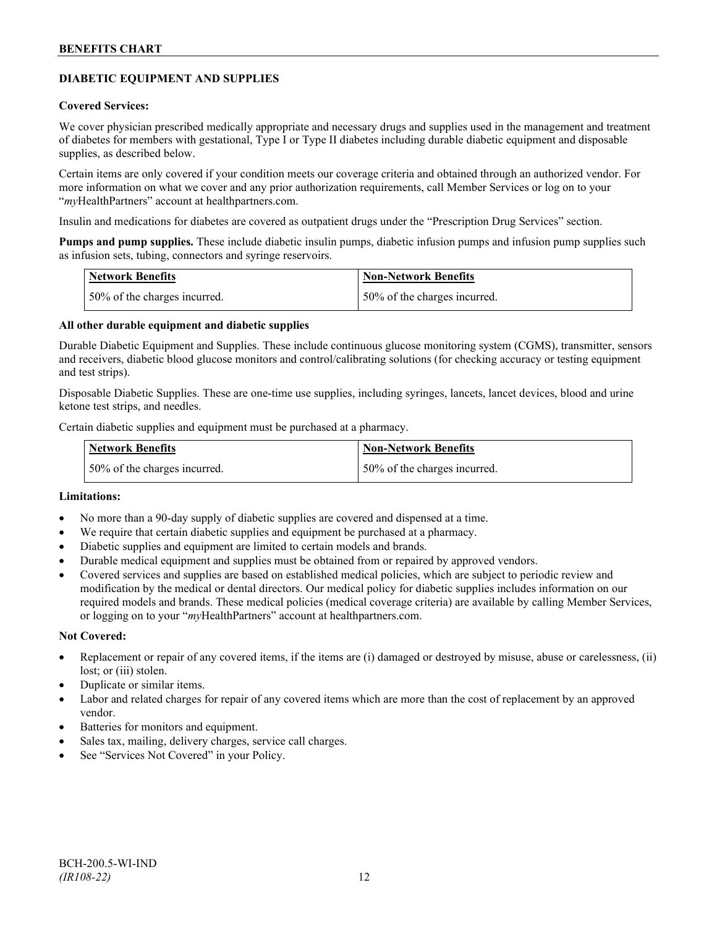## **DIABETIC EQUIPMENT AND SUPPLIES**

### **Covered Services:**

We cover physician prescribed medically appropriate and necessary drugs and supplies used in the management and treatment of diabetes for members with gestational, Type I or Type II diabetes including durable diabetic equipment and disposable supplies, as described below.

Certain items are only covered if your condition meets our coverage criteria and obtained through an authorized vendor. For more information on what we cover and any prior authorization requirements, call Member Services or log on to your "*my*HealthPartners" account at [healthpartners.com.](http://www.healthpartners.com/)

Insulin and medications for diabetes are covered as outpatient drugs under the "Prescription Drug Services" section.

**Pumps and pump supplies.** These include diabetic insulin pumps, diabetic infusion pumps and infusion pump supplies such as infusion sets, tubing, connectors and syringe reservoirs.

| <b>Network Benefits</b>      | <b>Non-Network Benefits</b>  |
|------------------------------|------------------------------|
| 50% of the charges incurred. | 50% of the charges incurred. |

## **All other durable equipment and diabetic supplies**

Durable Diabetic Equipment and Supplies. These include continuous glucose monitoring system (CGMS), transmitter, sensors and receivers, diabetic blood glucose monitors and control/calibrating solutions (for checking accuracy or testing equipment and test strips).

Disposable Diabetic Supplies. These are one-time use supplies, including syringes, lancets, lancet devices, blood and urine ketone test strips, and needles.

Certain diabetic supplies and equipment must be purchased at a pharmacy.

| <b>Network Benefits</b>      | <b>Non-Network Benefits</b>  |
|------------------------------|------------------------------|
| 50% of the charges incurred. | 50% of the charges incurred. |

## **Limitations:**

- No more than a 90-day supply of diabetic supplies are covered and dispensed at a time.
- We require that certain diabetic supplies and equipment be purchased at a pharmacy.
- Diabetic supplies and equipment are limited to certain models and brands.
- Durable medical equipment and supplies must be obtained from or repaired by approved vendors.
- Covered services and supplies are based on established medical policies, which are subject to periodic review and modification by the medical or dental directors. Our medical policy for diabetic supplies includes information on our required models and brands. These medical policies (medical coverage criteria) are available by calling Member Services, or logging on to your "*my*HealthPartners" account at healthpartners.com.

#### **Not Covered:**

- Replacement or repair of any covered items, if the items are (i) damaged or destroyed by misuse, abuse or carelessness, (ii) lost; or (iii) stolen.
- Duplicate or similar items.
- Labor and related charges for repair of any covered items which are more than the cost of replacement by an approved vendor.
- Batteries for monitors and equipment.
- Sales tax, mailing, delivery charges, service call charges.
- See "Services Not Covered" in your Policy.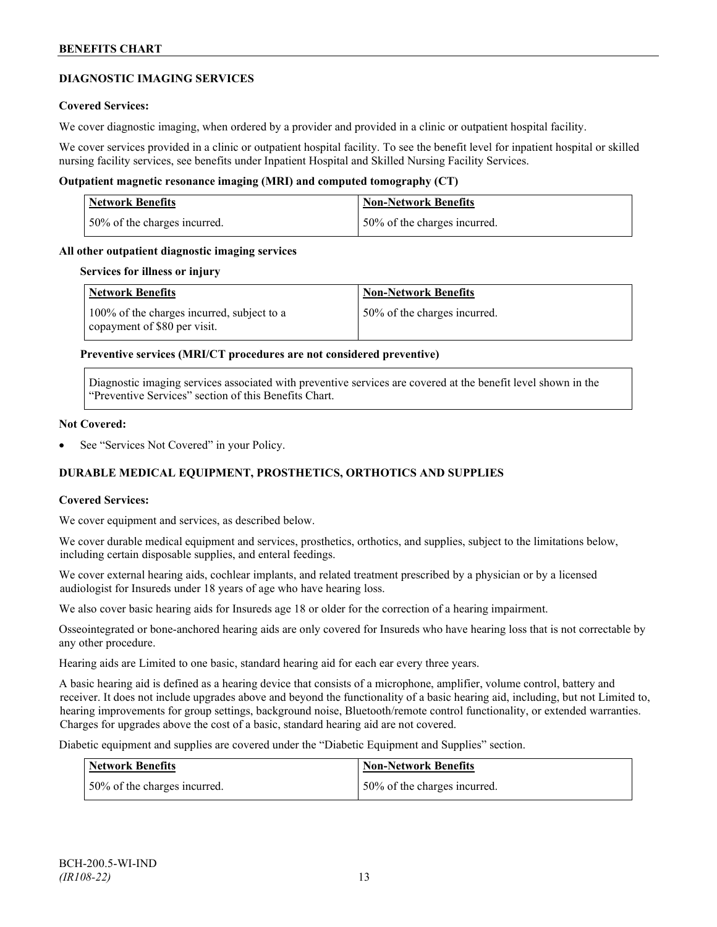## **DIAGNOSTIC IMAGING SERVICES**

## **Covered Services:**

We cover diagnostic imaging, when ordered by a provider and provided in a clinic or outpatient hospital facility.

We cover services provided in a clinic or outpatient hospital facility. To see the benefit level for inpatient hospital or skilled nursing facility services, see benefits under Inpatient Hospital and Skilled Nursing Facility Services.

## **Outpatient magnetic resonance imaging (MRI) and computed tomography (CT)**

| Network Benefits             | Non-Network Benefits         |
|------------------------------|------------------------------|
| 50% of the charges incurred. | 50% of the charges incurred. |

### **All other outpatient diagnostic imaging services**

#### **Services for illness or injury**

| <b>Network Benefits</b>                                                    | <b>Non-Network Benefits</b>  |
|----------------------------------------------------------------------------|------------------------------|
| 100% of the charges incurred, subject to a<br>copayment of \$80 per visit. | 50% of the charges incurred. |

### **Preventive services (MRI/CT procedures are not considered preventive)**

Diagnostic imaging services associated with preventive services are covered at the benefit level shown in the "Preventive Services" section of this Benefits Chart.

#### **Not Covered:**

See "Services Not Covered" in your Policy.

## **DURABLE MEDICAL EQUIPMENT, PROSTHETICS, ORTHOTICS AND SUPPLIES**

#### **Covered Services:**

We cover equipment and services, as described below.

We cover durable medical equipment and services, prosthetics, orthotics, and supplies, subject to the limitations below, including certain disposable supplies, and enteral feedings.

We cover external hearing aids, cochlear implants, and related treatment prescribed by a physician or by a licensed audiologist for Insureds under 18 years of age who have hearing loss.

We also cover basic hearing aids for Insureds age 18 or older for the correction of a hearing impairment.

Osseointegrated or bone-anchored hearing aids are only covered for Insureds who have hearing loss that is not correctable by any other procedure.

Hearing aids are Limited to one basic, standard hearing aid for each ear every three years.

A basic hearing aid is defined as a hearing device that consists of a microphone, amplifier, volume control, battery and receiver. It does not include upgrades above and beyond the functionality of a basic hearing aid, including, but not Limited to, hearing improvements for group settings, background noise, Bluetooth/remote control functionality, or extended warranties. Charges for upgrades above the cost of a basic, standard hearing aid are not covered.

Diabetic equipment and supplies are covered under the "Diabetic Equipment and Supplies" section.

| <b>Network Benefits</b>      | <b>Non-Network Benefits</b>  |
|------------------------------|------------------------------|
| 50% of the charges incurred. | 50% of the charges incurred. |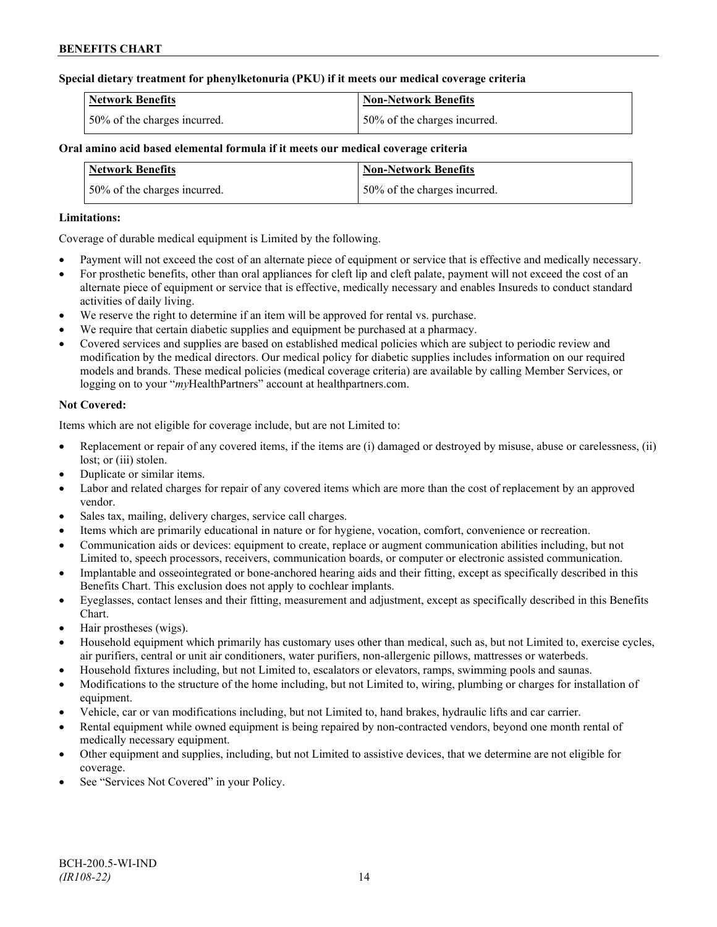## **Special dietary treatment for phenylketonuria (PKU) if it meets our medical coverage criteria**

| <b>Network Benefits</b>       | Non-Network Benefits         |
|-------------------------------|------------------------------|
| 150% of the charges incurred. | 50% of the charges incurred. |

## **Oral amino acid based elemental formula if it meets our medical coverage criteria**

| <b>Network Benefits</b>      | <b>Non-Network Benefits</b>  |
|------------------------------|------------------------------|
| 50% of the charges incurred. | 50% of the charges incurred. |

## **Limitations:**

Coverage of durable medical equipment is Limited by the following.

- Payment will not exceed the cost of an alternate piece of equipment or service that is effective and medically necessary.
- For prosthetic benefits, other than oral appliances for cleft lip and cleft palate, payment will not exceed the cost of an alternate piece of equipment or service that is effective, medically necessary and enables Insureds to conduct standard activities of daily living.
- We reserve the right to determine if an item will be approved for rental vs. purchase.
- We require that certain diabetic supplies and equipment be purchased at a pharmacy.
- Covered services and supplies are based on established medical policies which are subject to periodic review and modification by the medical directors. Our medical policy for diabetic supplies includes information on our required models and brands. These medical policies (medical coverage criteria) are available by calling Member Services, or logging on to your "*my*HealthPartners" account at [healthpartners.com.](http://www.healthpartners.com/)

## **Not Covered:**

Items which are not eligible for coverage include, but are not Limited to:

- Replacement or repair of any covered items, if the items are (i) damaged or destroyed by misuse, abuse or carelessness, (ii) lost; or *(iii)* stolen.
- Duplicate or similar items.
- Labor and related charges for repair of any covered items which are more than the cost of replacement by an approved vendor.
- Sales tax, mailing, delivery charges, service call charges.
- Items which are primarily educational in nature or for hygiene, vocation, comfort, convenience or recreation.
- Communication aids or devices: equipment to create, replace or augment communication abilities including, but not Limited to, speech processors, receivers, communication boards, or computer or electronic assisted communication.
- Implantable and osseointegrated or bone-anchored hearing aids and their fitting, except as specifically described in this Benefits Chart. This exclusion does not apply to cochlear implants.
- Eyeglasses, contact lenses and their fitting, measurement and adjustment, except as specifically described in this Benefits Chart.
- Hair prostheses (wigs).
- Household equipment which primarily has customary uses other than medical, such as, but not Limited to, exercise cycles, air purifiers, central or unit air conditioners, water purifiers, non-allergenic pillows, mattresses or waterbeds.
- Household fixtures including, but not Limited to, escalators or elevators, ramps, swimming pools and saunas.
- Modifications to the structure of the home including, but not Limited to, wiring, plumbing or charges for installation of equipment.
- Vehicle, car or van modifications including, but not Limited to, hand brakes, hydraulic lifts and car carrier.
- Rental equipment while owned equipment is being repaired by non-contracted vendors, beyond one month rental of medically necessary equipment.
- Other equipment and supplies, including, but not Limited to assistive devices, that we determine are not eligible for coverage.
- See "Services Not Covered" in your Policy.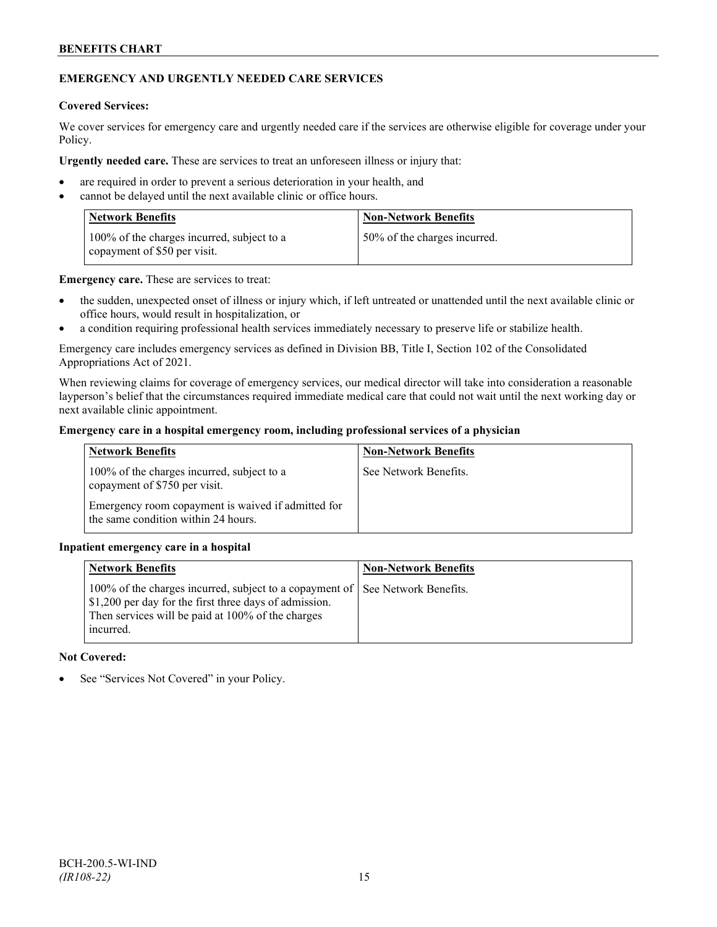## **EMERGENCY AND URGENTLY NEEDED CARE SERVICES**

### **Covered Services:**

We cover services for emergency care and urgently needed care if the services are otherwise eligible for coverage under your Policy.

**Urgently needed care.** These are services to treat an unforeseen illness or injury that:

- are required in order to prevent a serious deterioration in your health, and
- cannot be delayed until the next available clinic or office hours.

| <b>Network Benefits</b>                                                    | <b>Non-Network Benefits</b>   |
|----------------------------------------------------------------------------|-------------------------------|
| 100% of the charges incurred, subject to a<br>copayment of \$50 per visit. | 150% of the charges incurred. |

**Emergency care.** These are services to treat:

- the sudden, unexpected onset of illness or injury which, if left untreated or unattended until the next available clinic or office hours, would result in hospitalization, or
- a condition requiring professional health services immediately necessary to preserve life or stabilize health.

Emergency care includes emergency services as defined in Division BB, Title I, Section 102 of the Consolidated Appropriations Act of 2021.

When reviewing claims for coverage of emergency services, our medical director will take into consideration a reasonable layperson's belief that the circumstances required immediate medical care that could not wait until the next working day or next available clinic appointment.

## **Emergency care in a hospital emergency room, including professional services of a physician**

| <b>Network Benefits</b>                                                                   | <b>Non-Network Benefits</b> |
|-------------------------------------------------------------------------------------------|-----------------------------|
| 100% of the charges incurred, subject to a<br>copayment of \$750 per visit.               | See Network Benefits.       |
| Emergency room copayment is waived if admitted for<br>the same condition within 24 hours. |                             |

## **Inpatient emergency care in a hospital**

| <b>Network Benefits</b>                                                                                                                                                               | <b>Non-Network Benefits</b> |
|---------------------------------------------------------------------------------------------------------------------------------------------------------------------------------------|-----------------------------|
| 100% of the charges incurred, subject to a copayment of  <br>\$1,200 per day for the first three days of admission.<br>Then services will be paid at 100% of the charges<br>incurred. | See Network Benefits.       |

## **Not Covered:**

See "Services Not Covered" in your Policy.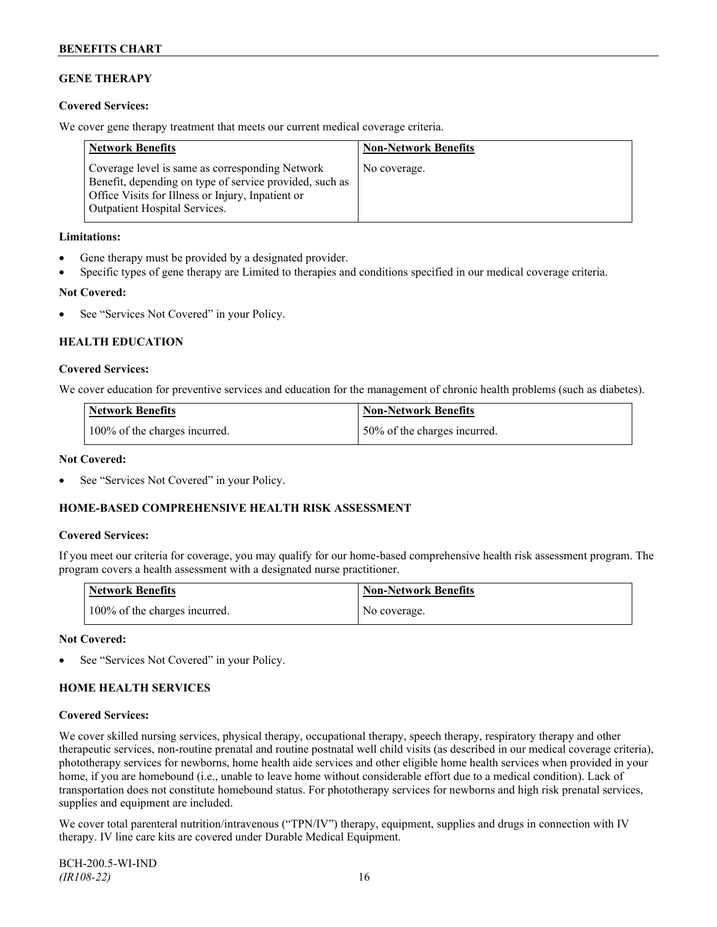## **GENE THERAPY**

## **Covered Services:**

We cover gene therapy treatment that meets our current medical coverage criteria.

| <b>Network Benefits</b>                                                                                                                                                                                 | <b>Non-Network Benefits</b> |
|---------------------------------------------------------------------------------------------------------------------------------------------------------------------------------------------------------|-----------------------------|
| Coverage level is same as corresponding Network<br>Benefit, depending on type of service provided, such as<br>Office Visits for Illness or Injury, Inpatient or<br><b>Outpatient Hospital Services.</b> | No coverage.                |

## **Limitations:**

- Gene therapy must be provided by a designated provider.
- Specific types of gene therapy are Limited to therapies and conditions specified in our medical coverage criteria.

### **Not Covered:**

See "Services Not Covered" in your Policy.

## **HEALTH EDUCATION**

### **Covered Services:**

We cover education for preventive services and education for the management of chronic health problems (such as diabetes).

| <b>Network Benefits</b>       | Non-Network Benefits         |
|-------------------------------|------------------------------|
| 100% of the charges incurred. | 50% of the charges incurred. |

#### **Not Covered:**

See "Services Not Covered" in your Policy.

## **HOME-BASED COMPREHENSIVE HEALTH RISK ASSESSMENT**

#### **Covered Services:**

If you meet our criteria for coverage, you may qualify for our home-based comprehensive health risk assessment program. The program covers a health assessment with a designated nurse practitioner.

| <b>Network Benefits</b>       | <b>Non-Network Benefits</b> |
|-------------------------------|-----------------------------|
| 100% of the charges incurred. | No coverage.                |

#### **Not Covered:**

See "Services Not Covered" in your Policy.

## **HOME HEALTH SERVICES**

## **Covered Services:**

We cover skilled nursing services, physical therapy, occupational therapy, speech therapy, respiratory therapy and other therapeutic services, non-routine prenatal and routine postnatal well child visits (as described in our medical coverage criteria), phototherapy services for newborns, home health aide services and other eligible home health services when provided in your home, if you are homebound (i.e., unable to leave home without considerable effort due to a medical condition). Lack of transportation does not constitute homebound status. For phototherapy services for newborns and high risk prenatal services, supplies and equipment are included.

We cover total parenteral nutrition/intravenous ("TPN/IV") therapy, equipment, supplies and drugs in connection with IV therapy. IV line care kits are covered under Durable Medical Equipment.

BCH-200.5-WI-IND *(IR108-22)* 16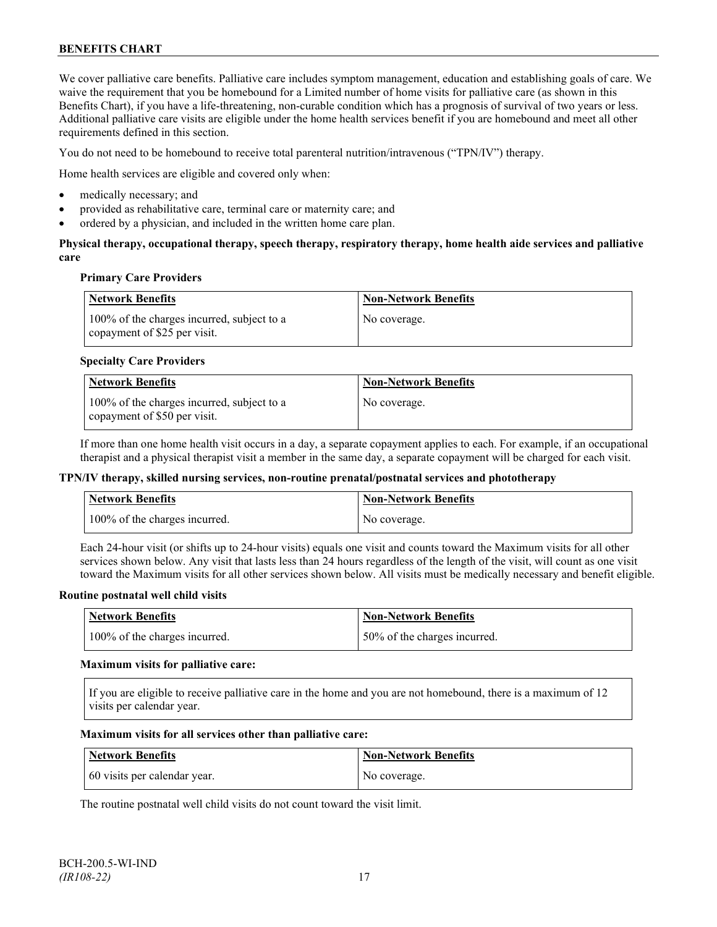We cover palliative care benefits. Palliative care includes symptom management, education and establishing goals of care. We waive the requirement that you be homebound for a Limited number of home visits for palliative care (as shown in this Benefits Chart), if you have a life-threatening, non-curable condition which has a prognosis of survival of two years or less. Additional palliative care visits are eligible under the home health services benefit if you are homebound and meet all other requirements defined in this section.

You do not need to be homebound to receive total parenteral nutrition/intravenous ("TPN/IV") therapy.

Home health services are eligible and covered only when:

- medically necessary; and
- provided as rehabilitative care, terminal care or maternity care; and
- ordered by a physician, and included in the written home care plan.

## **Physical therapy, occupational therapy, speech therapy, respiratory therapy, home health aide services and palliative care**

### **Primary Care Providers**

| Network Benefits                                                           | <b>Non-Network Benefits</b> |
|----------------------------------------------------------------------------|-----------------------------|
| 100% of the charges incurred, subject to a<br>copayment of \$25 per visit. | No coverage.                |

### **Specialty Care Providers**

| Network Benefits                                                           | <b>Non-Network Benefits</b> |
|----------------------------------------------------------------------------|-----------------------------|
| 100% of the charges incurred, subject to a<br>copayment of \$50 per visit. | No coverage.                |

If more than one home health visit occurs in a day, a separate copayment applies to each. For example, if an occupational therapist and a physical therapist visit a member in the same day, a separate copayment will be charged for each visit.

#### **TPN/IV therapy, skilled nursing services, non-routine prenatal/postnatal services and phototherapy**

| <b>Network Benefits</b>       | <b>Non-Network Benefits</b> |
|-------------------------------|-----------------------------|
| 100% of the charges incurred. | No coverage.                |

Each 24-hour visit (or shifts up to 24-hour visits) equals one visit and counts toward the Maximum visits for all other services shown below. Any visit that lasts less than 24 hours regardless of the length of the visit, will count as one visit toward the Maximum visits for all other services shown below. All visits must be medically necessary and benefit eligible.

#### **Routine postnatal well child visits**

| Network Benefits              | Non-Network Benefits         |
|-------------------------------|------------------------------|
| 100% of the charges incurred. | 50% of the charges incurred. |

#### **Maximum visits for palliative care:**

If you are eligible to receive palliative care in the home and you are not homebound, there is a maximum of 12 visits per calendar year.

#### **Maximum visits for all services other than palliative care:**

| Network Benefits             | <b>Non-Network Benefits</b> |
|------------------------------|-----------------------------|
| 60 visits per calendar year. | No coverage.                |

The routine postnatal well child visits do not count toward the visit limit.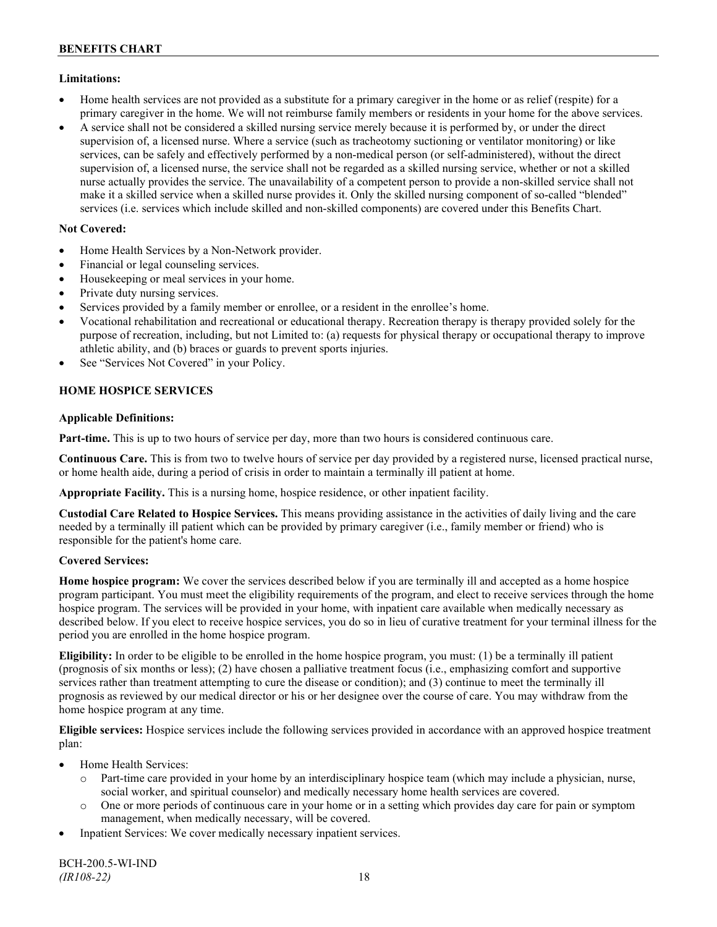## **Limitations:**

- Home health services are not provided as a substitute for a primary caregiver in the home or as relief (respite) for a primary caregiver in the home. We will not reimburse family members or residents in your home for the above services.
- A service shall not be considered a skilled nursing service merely because it is performed by, or under the direct supervision of, a licensed nurse. Where a service (such as tracheotomy suctioning or ventilator monitoring) or like services, can be safely and effectively performed by a non-medical person (or self-administered), without the direct supervision of, a licensed nurse, the service shall not be regarded as a skilled nursing service, whether or not a skilled nurse actually provides the service. The unavailability of a competent person to provide a non-skilled service shall not make it a skilled service when a skilled nurse provides it. Only the skilled nursing component of so-called "blended" services (i.e. services which include skilled and non-skilled components) are covered under this Benefits Chart.

## **Not Covered:**

- Home Health Services by a Non-Network provider.
- Financial or legal counseling services.
- Housekeeping or meal services in your home.
- Private duty nursing services.
- Services provided by a family member or enrollee, or a resident in the enrollee's home.
- Vocational rehabilitation and recreational or educational therapy. Recreation therapy is therapy provided solely for the purpose of recreation, including, but not Limited to: (a) requests for physical therapy or occupational therapy to improve athletic ability, and (b) braces or guards to prevent sports injuries.
- See "Services Not Covered" in your Policy.

## **HOME HOSPICE SERVICES**

## **Applicable Definitions:**

**Part-time.** This is up to two hours of service per day, more than two hours is considered continuous care.

**Continuous Care.** This is from two to twelve hours of service per day provided by a registered nurse, licensed practical nurse, or home health aide, during a period of crisis in order to maintain a terminally ill patient at home.

**Appropriate Facility.** This is a nursing home, hospice residence, or other inpatient facility.

**Custodial Care Related to Hospice Services.** This means providing assistance in the activities of daily living and the care needed by a terminally ill patient which can be provided by primary caregiver (i.e., family member or friend) who is responsible for the patient's home care.

## **Covered Services:**

**Home hospice program:** We cover the services described below if you are terminally ill and accepted as a home hospice program participant. You must meet the eligibility requirements of the program, and elect to receive services through the home hospice program. The services will be provided in your home, with inpatient care available when medically necessary as described below. If you elect to receive hospice services, you do so in lieu of curative treatment for your terminal illness for the period you are enrolled in the home hospice program.

**Eligibility:** In order to be eligible to be enrolled in the home hospice program, you must: (1) be a terminally ill patient (prognosis of six months or less); (2) have chosen a palliative treatment focus (i.e., emphasizing comfort and supportive services rather than treatment attempting to cure the disease or condition); and (3) continue to meet the terminally ill prognosis as reviewed by our medical director or his or her designee over the course of care. You may withdraw from the home hospice program at any time.

**Eligible services:** Hospice services include the following services provided in accordance with an approved hospice treatment plan:

- Home Health Services:
	- o Part-time care provided in your home by an interdisciplinary hospice team (which may include a physician, nurse, social worker, and spiritual counselor) and medically necessary home health services are covered.
	- o One or more periods of continuous care in your home or in a setting which provides day care for pain or symptom management, when medically necessary, will be covered.
- Inpatient Services: We cover medically necessary inpatient services.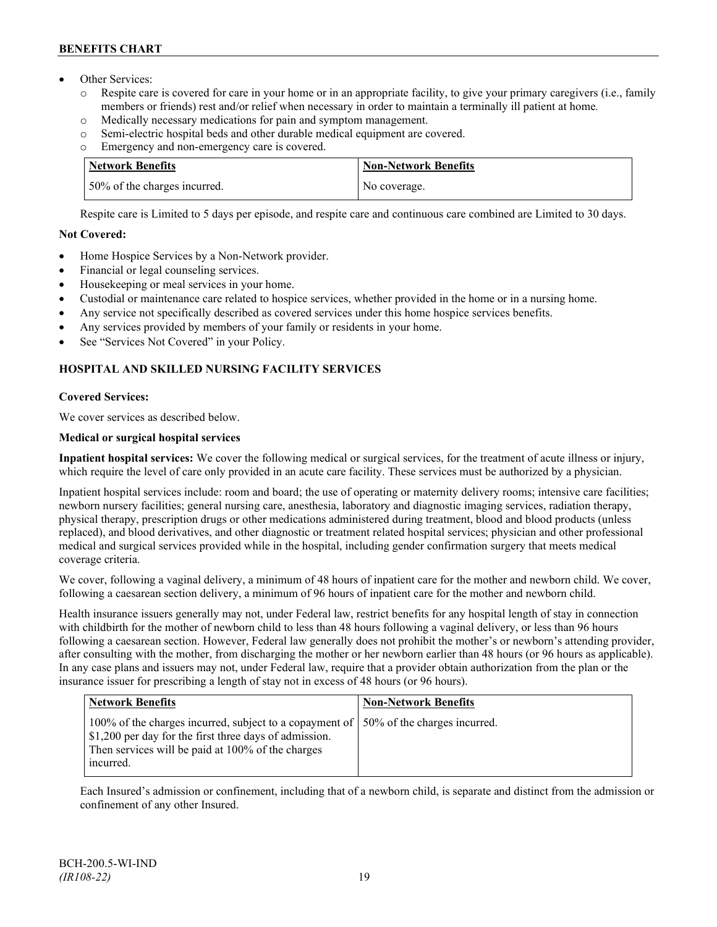- Other Services:
	- o Respite care is covered for care in your home or in an appropriate facility, to give your primary caregivers (i.e., family members or friends) rest and/or relief when necessary in order to maintain a terminally ill patient at home*.*
	- o Medically necessary medications for pain and symptom management.
	- o Semi-electric hospital beds and other durable medical equipment are covered.
	- o Emergency and non-emergency care is covered.

| <b>Network Benefits</b>      | <b>Non-Network Benefits</b> |
|------------------------------|-----------------------------|
| 50% of the charges incurred. | No coverage.                |

Respite care is Limited to 5 days per episode, and respite care and continuous care combined are Limited to 30 days.

## **Not Covered:**

- Home Hospice Services by a Non-Network provider.
- Financial or legal counseling services.
- Housekeeping or meal services in your home.
- Custodial or maintenance care related to hospice services, whether provided in the home or in a nursing home.
- Any service not specifically described as covered services under this home hospice services benefits.
- Any services provided by members of your family or residents in your home.
- See "Services Not Covered" in your Policy.

## **HOSPITAL AND SKILLED NURSING FACILITY SERVICES**

## **Covered Services:**

We cover services as described below.

## **Medical or surgical hospital services**

**Inpatient hospital services:** We cover the following medical or surgical services, for the treatment of acute illness or injury, which require the level of care only provided in an acute care facility. These services must be authorized by a physician.

Inpatient hospital services include: room and board; the use of operating or maternity delivery rooms; intensive care facilities; newborn nursery facilities; general nursing care, anesthesia, laboratory and diagnostic imaging services, radiation therapy, physical therapy, prescription drugs or other medications administered during treatment, blood and blood products (unless replaced), and blood derivatives, and other diagnostic or treatment related hospital services; physician and other professional medical and surgical services provided while in the hospital, including gender confirmation surgery that meets medical coverage criteria.

We cover, following a vaginal delivery, a minimum of 48 hours of inpatient care for the mother and newborn child. We cover, following a caesarean section delivery, a minimum of 96 hours of inpatient care for the mother and newborn child.

Health insurance issuers generally may not, under Federal law, restrict benefits for any hospital length of stay in connection with childbirth for the mother of newborn child to less than 48 hours following a vaginal delivery, or less than 96 hours following a caesarean section. However, Federal law generally does not prohibit the mother's or newborn's attending provider, after consulting with the mother, from discharging the mother or her newborn earlier than 48 hours (or 96 hours as applicable). In any case plans and issuers may not, under Federal law, require that a provider obtain authorization from the plan or the insurance issuer for prescribing a length of stay not in excess of 48 hours (or 96 hours).

| <b>Network Benefits</b>                                                                                                                                                                                            | <b>Non-Network Benefits</b> |
|--------------------------------------------------------------------------------------------------------------------------------------------------------------------------------------------------------------------|-----------------------------|
| 100% of the charges incurred, subject to a copayment of   50% of the charges incurred.<br>\$1,200 per day for the first three days of admission.<br>Then services will be paid at 100% of the charges<br>incurred. |                             |

Each Insured's admission or confinement, including that of a newborn child, is separate and distinct from the admission or confinement of any other Insured.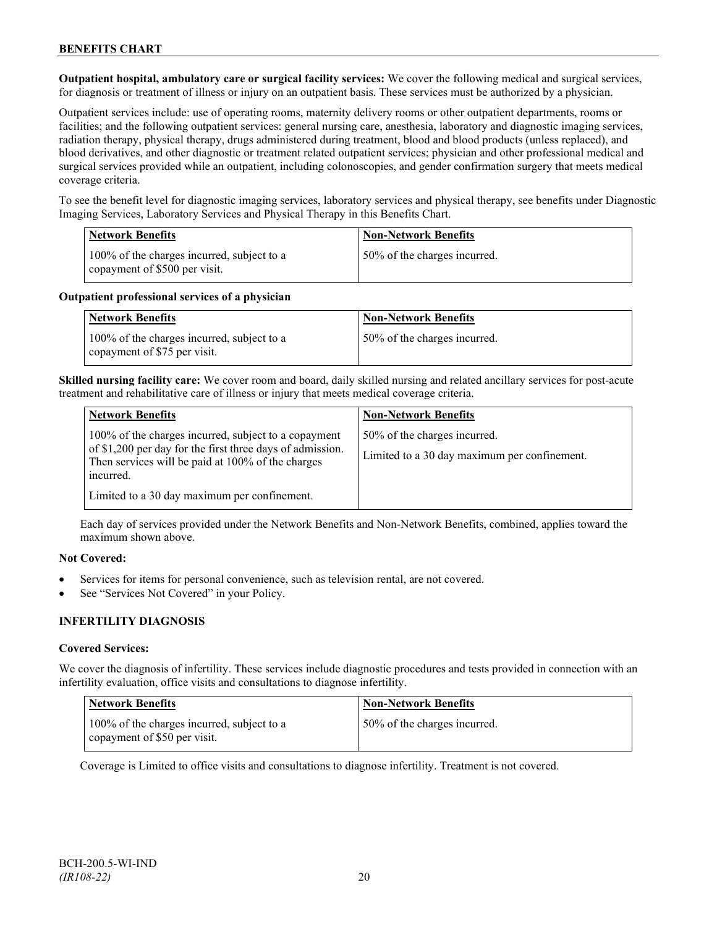**Outpatient hospital, ambulatory care or surgical facility services:** We cover the following medical and surgical services, for diagnosis or treatment of illness or injury on an outpatient basis. These services must be authorized by a physician.

Outpatient services include: use of operating rooms, maternity delivery rooms or other outpatient departments, rooms or facilities; and the following outpatient services: general nursing care, anesthesia, laboratory and diagnostic imaging services, radiation therapy, physical therapy, drugs administered during treatment, blood and blood products (unless replaced), and blood derivatives, and other diagnostic or treatment related outpatient services; physician and other professional medical and surgical services provided while an outpatient, including colonoscopies, and gender confirmation surgery that meets medical coverage criteria.

To see the benefit level for diagnostic imaging services, laboratory services and physical therapy, see benefits under Diagnostic Imaging Services, Laboratory Services and Physical Therapy in this Benefits Chart.

| <b>Network Benefits</b>                                                     | <b>Non-Network Benefits</b>  |
|-----------------------------------------------------------------------------|------------------------------|
| 100% of the charges incurred, subject to a<br>copayment of \$500 per visit. | 50% of the charges incurred. |

### **Outpatient professional services of a physician**

| <b>Network Benefits</b>                                                    | <b>Non-Network Benefits</b>  |
|----------------------------------------------------------------------------|------------------------------|
| 100% of the charges incurred, subject to a<br>copayment of \$75 per visit. | 50% of the charges incurred. |

**Skilled nursing facility care:** We cover room and board, daily skilled nursing and related ancillary services for post-acute treatment and rehabilitative care of illness or injury that meets medical coverage criteria.

| <b>Network Benefits</b>                                                                                           | <b>Non-Network Benefits</b>                  |
|-------------------------------------------------------------------------------------------------------------------|----------------------------------------------|
| 100% of the charges incurred, subject to a copayment<br>of \$1,200 per day for the first three days of admission. | 50% of the charges incurred.                 |
| Then services will be paid at 100% of the charges<br>incurred.                                                    | Limited to a 30 day maximum per confinement. |
| Limited to a 30 day maximum per confinement.                                                                      |                                              |

Each day of services provided under the Network Benefits and Non-Network Benefits, combined, applies toward the maximum shown above.

## **Not Covered:**

- Services for items for personal convenience, such as television rental, are not covered.
- See "Services Not Covered" in your Policy.

## **INFERTILITY DIAGNOSIS**

## **Covered Services:**

We cover the diagnosis of infertility. These services include diagnostic procedures and tests provided in connection with an infertility evaluation, office visits and consultations to diagnose infertility.

| <b>Network Benefits</b>                                                    | <b>Non-Network Benefits</b>  |
|----------------------------------------------------------------------------|------------------------------|
| 100% of the charges incurred, subject to a<br>copayment of \$50 per visit. | 50% of the charges incurred. |

Coverage is Limited to office visits and consultations to diagnose infertility. Treatment is not covered.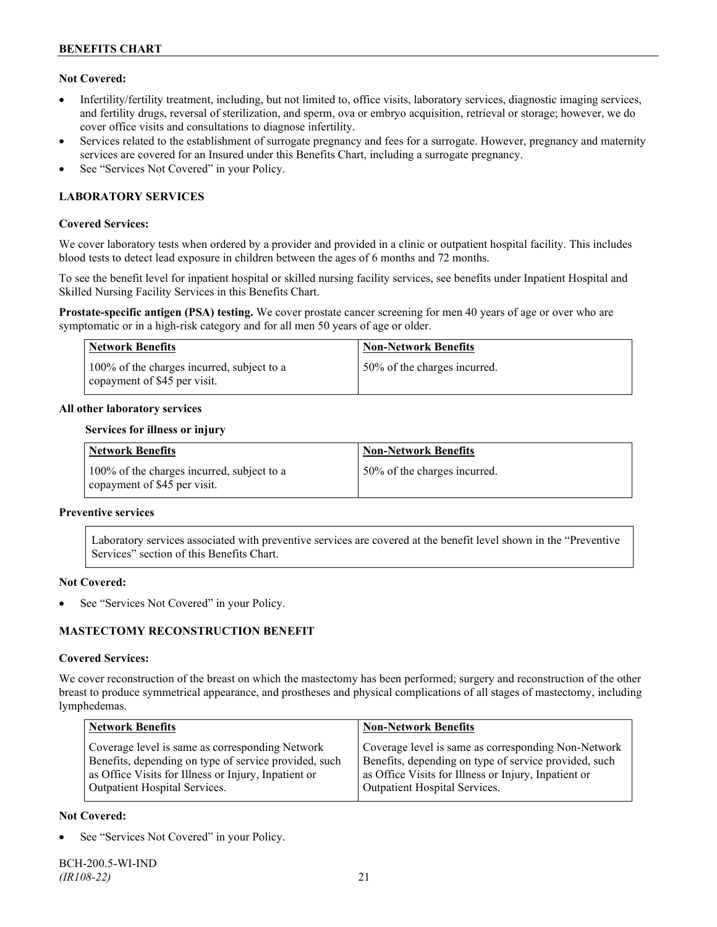## **Not Covered:**

- Infertility/fertility treatment, including, but not limited to, office visits, laboratory services, diagnostic imaging services, and fertility drugs, reversal of sterilization, and sperm, ova or embryo acquisition, retrieval or storage; however, we do cover office visits and consultations to diagnose infertility.
- Services related to the establishment of surrogate pregnancy and fees for a surrogate. However, pregnancy and maternity services are covered for an Insured under this Benefits Chart, including a surrogate pregnancy.
- See "Services Not Covered" in your Policy.

## **LABORATORY SERVICES**

### **Covered Services:**

We cover laboratory tests when ordered by a provider and provided in a clinic or outpatient hospital facility. This includes blood tests to detect lead exposure in children between the ages of 6 months and 72 months.

To see the benefit level for inpatient hospital or skilled nursing facility services, see benefits under Inpatient Hospital and Skilled Nursing Facility Services in this Benefits Chart.

**Prostate-specific antigen (PSA) testing.** We cover prostate cancer screening for men 40 years of age or over who are symptomatic or in a high-risk category and for all men 50 years of age or older.

| <b>Network Benefits</b>                                                    | <b>Non-Network Benefits</b>  |
|----------------------------------------------------------------------------|------------------------------|
| 100% of the charges incurred, subject to a<br>copayment of \$45 per visit. | 50% of the charges incurred. |

### **All other laboratory services**

#### **Services for illness or injury**

| <b>Network Benefits</b>                                                    | <b>Non-Network Benefits</b>  |
|----------------------------------------------------------------------------|------------------------------|
| 100% of the charges incurred, subject to a<br>copayment of \$45 per visit. | 50% of the charges incurred. |

#### **Preventive services**

Laboratory services associated with preventive services are covered at the benefit level shown in the "Preventive Services" section of this Benefits Chart.

#### **Not Covered:**

See "Services Not Covered" in your Policy.

## **MASTECTOMY RECONSTRUCTION BENEFIT**

#### **Covered Services:**

We cover reconstruction of the breast on which the mastectomy has been performed; surgery and reconstruction of the other breast to produce symmetrical appearance, and prostheses and physical complications of all stages of mastectomy, including lymphedemas.

| <b>Network Benefits</b>                               | <b>Non-Network Benefits</b>                           |
|-------------------------------------------------------|-------------------------------------------------------|
| Coverage level is same as corresponding Network       | Coverage level is same as corresponding Non-Network   |
| Benefits, depending on type of service provided, such | Benefits, depending on type of service provided, such |
| as Office Visits for Illness or Injury, Inpatient or  | as Office Visits for Illness or Injury, Inpatient or  |
| Outpatient Hospital Services.                         | Outpatient Hospital Services.                         |

## **Not Covered:**

See "Services Not Covered" in your Policy.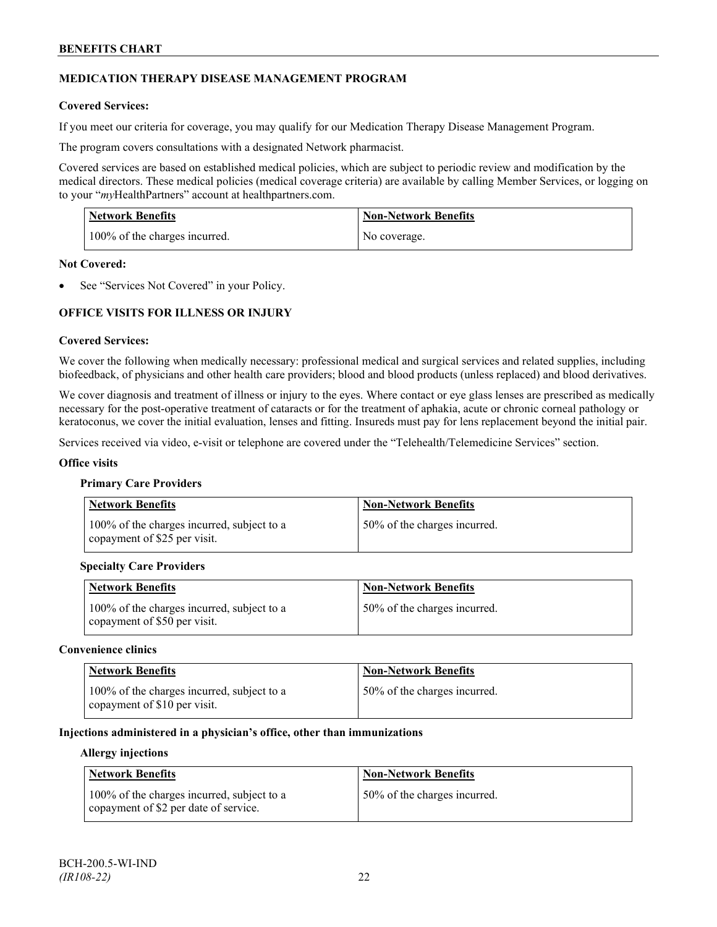## **MEDICATION THERAPY DISEASE MANAGEMENT PROGRAM**

## **Covered Services:**

If you meet our criteria for coverage, you may qualify for our Medication Therapy Disease Management Program.

The program covers consultations with a designated Network pharmacist.

Covered services are based on established medical policies, which are subject to periodic review and modification by the medical directors. These medical policies (medical coverage criteria) are available by calling Member Services, or logging on to your "*my*HealthPartners" account at [healthpartners.com.](http://www.healthpartners.com/)

| <b>Network Benefits</b>       | <b>Non-Network Benefits</b> |
|-------------------------------|-----------------------------|
| 100% of the charges incurred. | No coverage.                |

### **Not Covered:**

See "Services Not Covered" in your Policy.

## **OFFICE VISITS FOR ILLNESS OR INJURY**

### **Covered Services:**

We cover the following when medically necessary: professional medical and surgical services and related supplies, including biofeedback, of physicians and other health care providers; blood and blood products (unless replaced) and blood derivatives.

We cover diagnosis and treatment of illness or injury to the eyes. Where contact or eye glass lenses are prescribed as medically necessary for the post-operative treatment of cataracts or for the treatment of aphakia, acute or chronic corneal pathology or keratoconus, we cover the initial evaluation, lenses and fitting. Insureds must pay for lens replacement beyond the initial pair.

Services received via video, e-visit or telephone are covered under the "Telehealth/Telemedicine Services" section.

#### **Office visits**

#### **Primary Care Providers**

| <b>Network Benefits</b>                                                    | <b>Non-Network Benefits</b>  |
|----------------------------------------------------------------------------|------------------------------|
| 100% of the charges incurred, subject to a<br>copayment of \$25 per visit. | 50% of the charges incurred. |

#### **Specialty Care Providers**

| <b>Network Benefits</b>                                                    | <b>Non-Network Benefits</b>  |
|----------------------------------------------------------------------------|------------------------------|
| 100% of the charges incurred, subject to a<br>copayment of \$50 per visit. | 50% of the charges incurred. |

#### **Convenience clinics**

| <b>Network Benefits</b>                                                    | <b>Non-Network Benefits</b>  |
|----------------------------------------------------------------------------|------------------------------|
| 100% of the charges incurred, subject to a<br>copayment of \$10 per visit. | 50% of the charges incurred. |

### **Injections administered in a physician's office, other than immunizations**

#### **Allergy injections**

| <b>Network Benefits</b>                                                             | Non-Network Benefits         |
|-------------------------------------------------------------------------------------|------------------------------|
| 100% of the charges incurred, subject to a<br>copayment of \$2 per date of service. | 50% of the charges incurred. |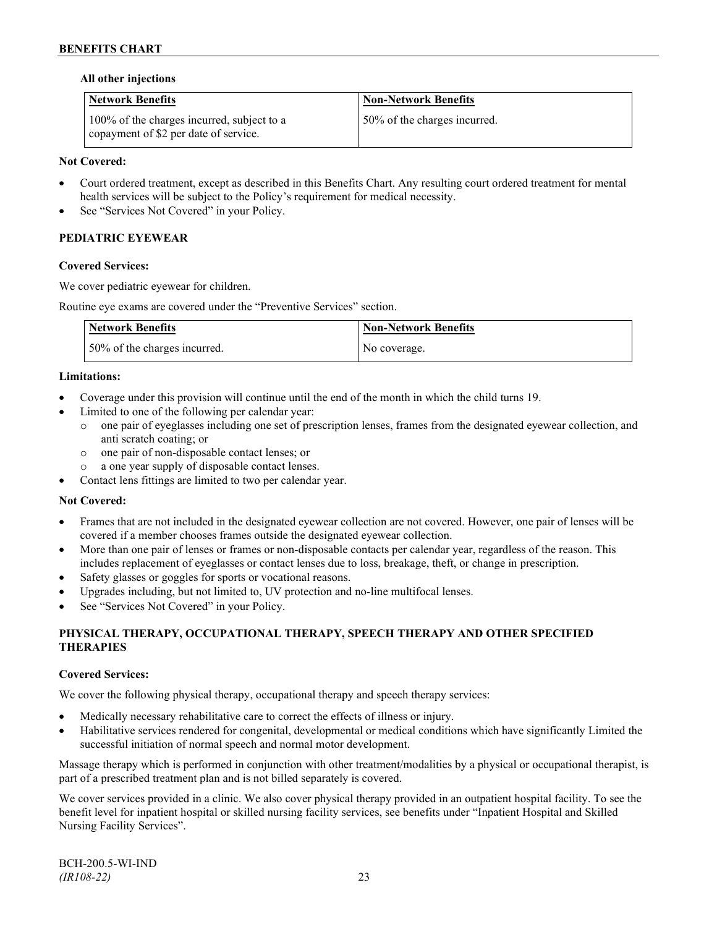## **All other injections**

| <b>Network Benefits</b>                                                             | <b>Non-Network Benefits</b>  |
|-------------------------------------------------------------------------------------|------------------------------|
| 100% of the charges incurred, subject to a<br>copayment of \$2 per date of service. | 50% of the charges incurred. |

## **Not Covered:**

- Court ordered treatment, except as described in this Benefits Chart. Any resulting court ordered treatment for mental health services will be subject to the Policy's requirement for medical necessity.
- See "Services Not Covered" in your Policy.

## **PEDIATRIC EYEWEAR**

### **Covered Services:**

We cover pediatric eyewear for children.

Routine eye exams are covered under the "Preventive Services" section.

| <b>Network Benefits</b>      | Non-Network Benefits |
|------------------------------|----------------------|
| 50% of the charges incurred. | No coverage.         |

### **Limitations:**

- Coverage under this provision will continue until the end of the month in which the child turns 19.
- Limited to one of the following per calendar year:
	- o one pair of eyeglasses including one set of prescription lenses, frames from the designated eyewear collection, and anti scratch coating; or
	- o one pair of non-disposable contact lenses; or
	- a one year supply of disposable contact lenses.
- Contact lens fittings are limited to two per calendar year.

#### **Not Covered:**

- Frames that are not included in the designated eyewear collection are not covered. However, one pair of lenses will be covered if a member chooses frames outside the designated eyewear collection.
- More than one pair of lenses or frames or non-disposable contacts per calendar year, regardless of the reason. This includes replacement of eyeglasses or contact lenses due to loss, breakage, theft, or change in prescription.
- Safety glasses or goggles for sports or vocational reasons.
- Upgrades including, but not limited to, UV protection and no-line multifocal lenses.
- See "Services Not Covered" in your Policy.

## **PHYSICAL THERAPY, OCCUPATIONAL THERAPY, SPEECH THERAPY AND OTHER SPECIFIED THERAPIES**

## **Covered Services:**

We cover the following physical therapy, occupational therapy and speech therapy services:

- Medically necessary rehabilitative care to correct the effects of illness or injury.
- Habilitative services rendered for congenital, developmental or medical conditions which have significantly Limited the successful initiation of normal speech and normal motor development.

Massage therapy which is performed in conjunction with other treatment/modalities by a physical or occupational therapist, is part of a prescribed treatment plan and is not billed separately is covered.

We cover services provided in a clinic. We also cover physical therapy provided in an outpatient hospital facility. To see the benefit level for inpatient hospital or skilled nursing facility services, see benefits under "Inpatient Hospital and Skilled Nursing Facility Services".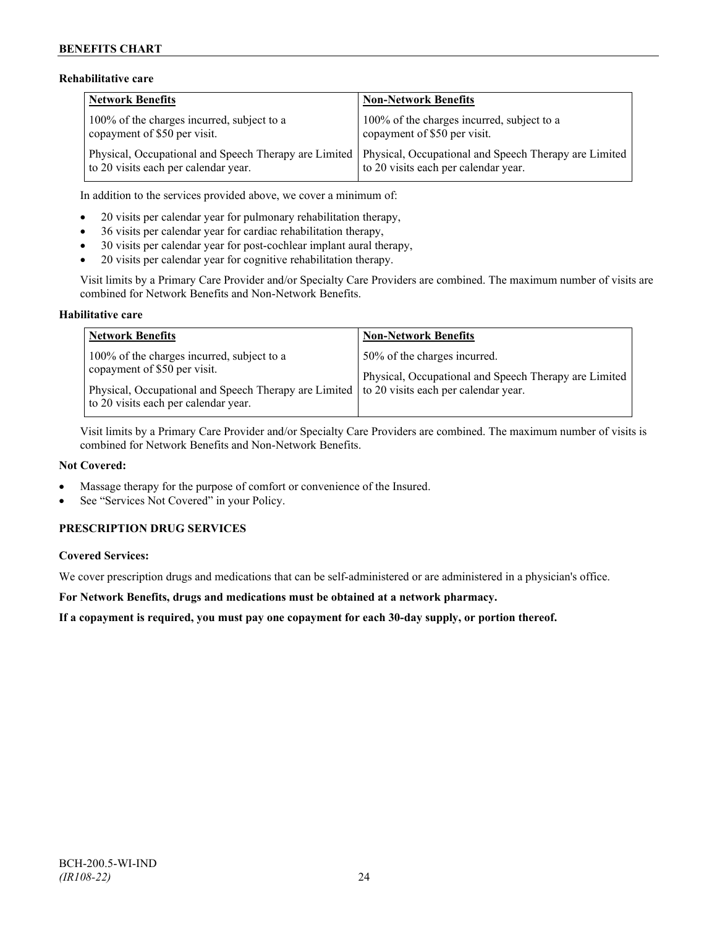## **Rehabilitative care**

| <b>Network Benefits</b>                                                    | <b>Non-Network Benefits</b>                                                                                                                           |
|----------------------------------------------------------------------------|-------------------------------------------------------------------------------------------------------------------------------------------------------|
| 100% of the charges incurred, subject to a<br>copayment of \$50 per visit. | 100% of the charges incurred, subject to a<br>copayment of \$50 per visit.                                                                            |
| to 20 visits each per calendar year.                                       | Physical, Occupational and Speech Therapy are Limited   Physical, Occupational and Speech Therapy are Limited<br>to 20 visits each per calendar year. |

In addition to the services provided above, we cover a minimum of:

- 20 visits per calendar year for pulmonary rehabilitation therapy,
- 36 visits per calendar year for cardiac rehabilitation therapy,
- 30 visits per calendar year for post-cochlear implant aural therapy,
- 20 visits per calendar year for cognitive rehabilitation therapy.

Visit limits by a Primary Care Provider and/or Specialty Care Providers are combined. The maximum number of visits are combined for Network Benefits and Non-Network Benefits.

### **Habilitative care**

| <b>Network Benefits</b>                                                                                                                                                                                          | <b>Non-Network Benefits</b>                                                           |
|------------------------------------------------------------------------------------------------------------------------------------------------------------------------------------------------------------------|---------------------------------------------------------------------------------------|
| 100% of the charges incurred, subject to a<br>copayment of \$50 per visit.<br>Physical, Occupational and Speech Therapy are Limited to 20 visits each per calendar year.<br>to 20 visits each per calendar year. | 50% of the charges incurred.<br>Physical, Occupational and Speech Therapy are Limited |

Visit limits by a Primary Care Provider and/or Specialty Care Providers are combined. The maximum number of visits is combined for Network Benefits and Non-Network Benefits.

#### **Not Covered:**

- Massage therapy for the purpose of comfort or convenience of the Insured.
- See "Services Not Covered" in your Policy.

## **PRESCRIPTION DRUG SERVICES**

## **Covered Services:**

We cover prescription drugs and medications that can be self-administered or are administered in a physician's office.

**For Network Benefits, drugs and medications must be obtained at a network pharmacy.**

**If a copayment is required, you must pay one copayment for each 30-day supply, or portion thereof.**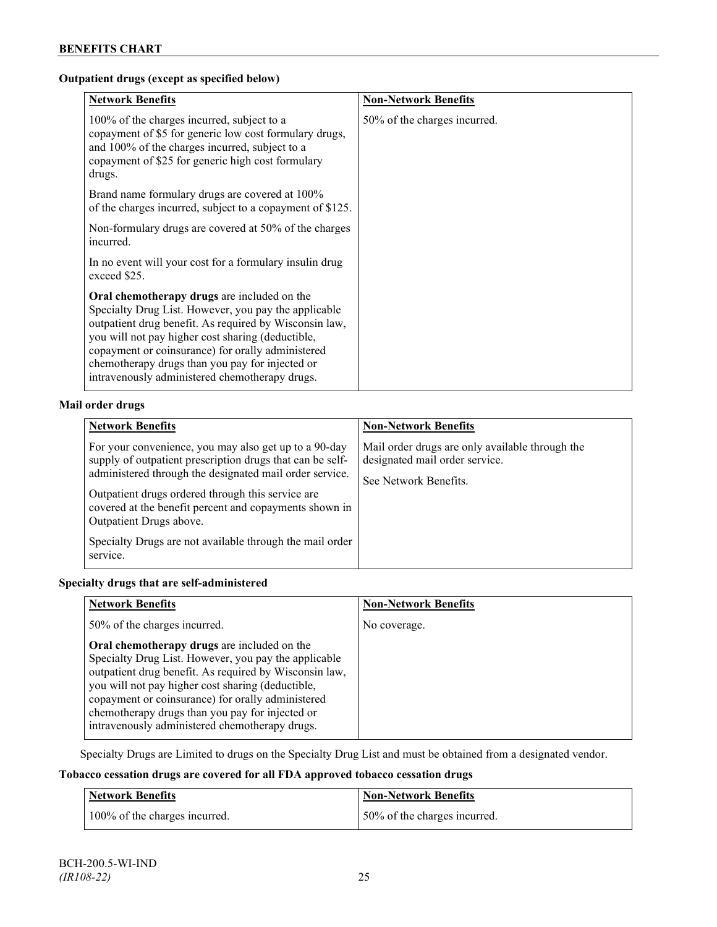## **Outpatient drugs (except as specified below)**

| <b>Network Benefits</b>                                                                                                                                                                                                                                                                                                                                                      | <b>Non-Network Benefits</b>  |
|------------------------------------------------------------------------------------------------------------------------------------------------------------------------------------------------------------------------------------------------------------------------------------------------------------------------------------------------------------------------------|------------------------------|
| 100% of the charges incurred, subject to a<br>copayment of \$5 for generic low cost formulary drugs,<br>and 100% of the charges incurred, subject to a<br>copayment of \$25 for generic high cost formulary<br>drugs.                                                                                                                                                        | 50% of the charges incurred. |
| Brand name formulary drugs are covered at 100%<br>of the charges incurred, subject to a copayment of \$125.                                                                                                                                                                                                                                                                  |                              |
| Non-formulary drugs are covered at 50% of the charges<br>incurred.                                                                                                                                                                                                                                                                                                           |                              |
| In no event will your cost for a formulary insulin drug<br>exceed \$25.                                                                                                                                                                                                                                                                                                      |                              |
| Oral chemotherapy drugs are included on the<br>Specialty Drug List. However, you pay the applicable<br>outpatient drug benefit. As required by Wisconsin law,<br>you will not pay higher cost sharing (deductible,<br>copayment or coinsurance) for orally administered<br>chemotherapy drugs than you pay for injected or<br>intravenously administered chemotherapy drugs. |                              |

## **Mail order drugs**

| <b>Network Benefits</b>                                                                                                                                                                                                                                                                                                                                                                         | <b>Non-Network Benefits</b>                                                                                |
|-------------------------------------------------------------------------------------------------------------------------------------------------------------------------------------------------------------------------------------------------------------------------------------------------------------------------------------------------------------------------------------------------|------------------------------------------------------------------------------------------------------------|
| For your convenience, you may also get up to a 90-day<br>supply of outpatient prescription drugs that can be self-<br>administered through the designated mail order service.<br>Outpatient drugs ordered through this service are<br>covered at the benefit percent and copayments shown in<br>Outpatient Drugs above.<br>Specialty Drugs are not available through the mail order<br>service. | Mail order drugs are only available through the<br>designated mail order service.<br>See Network Benefits. |

## **Specialty drugs that are self-administered**

| <b>Network Benefits</b>                                                                                                                                                                                                                                                                                                                                                      | <b>Non-Network Benefits</b> |
|------------------------------------------------------------------------------------------------------------------------------------------------------------------------------------------------------------------------------------------------------------------------------------------------------------------------------------------------------------------------------|-----------------------------|
| 50% of the charges incurred.                                                                                                                                                                                                                                                                                                                                                 | No coverage.                |
| Oral chemotherapy drugs are included on the<br>Specialty Drug List. However, you pay the applicable<br>outpatient drug benefit. As required by Wisconsin law,<br>you will not pay higher cost sharing (deductible,<br>copayment or coinsurance) for orally administered<br>chemotherapy drugs than you pay for injected or<br>intravenously administered chemotherapy drugs. |                             |

Specialty Drugs are Limited to drugs on the Specialty Drug List and must be obtained from a designated vendor.

## **Tobacco cessation drugs are covered for all FDA approved tobacco cessation drugs**

| <b>Network Benefits</b>       | <b>Non-Network Benefits</b>  |
|-------------------------------|------------------------------|
| 100% of the charges incurred. | 50% of the charges incurred. |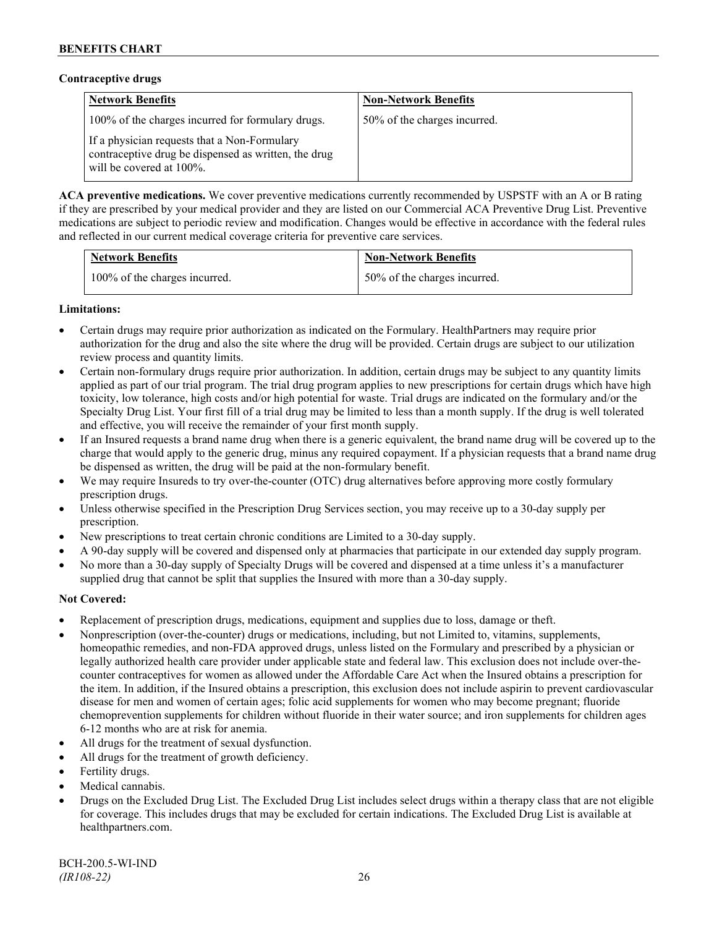### **Contraceptive drugs**

| <b>Network Benefits</b>                                                                                                          | <b>Non-Network Benefits</b>  |
|----------------------------------------------------------------------------------------------------------------------------------|------------------------------|
| 100% of the charges incurred for formulary drugs.                                                                                | 50% of the charges incurred. |
| If a physician requests that a Non-Formulary<br>contraceptive drug be dispensed as written, the drug<br>will be covered at 100%. |                              |

**ACA preventive medications.** We cover preventive medications currently recommended by USPSTF with an A or B rating if they are prescribed by your medical provider and they are listed on our Commercial ACA Preventive Drug List. Preventive medications are subject to periodic review and modification. Changes would be effective in accordance with the federal rules and reflected in our current medical coverage criteria for preventive care services.

| <b>Network Benefits</b>       | <b>Non-Network Benefits</b>  |
|-------------------------------|------------------------------|
| 100% of the charges incurred. | 50% of the charges incurred. |

## **Limitations:**

- Certain drugs may require prior authorization as indicated on the Formulary. HealthPartners may require prior authorization for the drug and also the site where the drug will be provided. Certain drugs are subject to our utilization review process and quantity limits.
- Certain non-formulary drugs require prior authorization. In addition, certain drugs may be subject to any quantity limits applied as part of our trial program. The trial drug program applies to new prescriptions for certain drugs which have high toxicity, low tolerance, high costs and/or high potential for waste. Trial drugs are indicated on the formulary and/or the Specialty Drug List. Your first fill of a trial drug may be limited to less than a month supply. If the drug is well tolerated and effective, you will receive the remainder of your first month supply.
- If an Insured requests a brand name drug when there is a generic equivalent, the brand name drug will be covered up to the charge that would apply to the generic drug, minus any required copayment. If a physician requests that a brand name drug be dispensed as written, the drug will be paid at the non-formulary benefit.
- We may require Insureds to try over-the-counter (OTC) drug alternatives before approving more costly formulary prescription drugs.
- Unless otherwise specified in the Prescription Drug Services section, you may receive up to a 30-day supply per prescription.
- New prescriptions to treat certain chronic conditions are Limited to a 30-day supply.
- A 90-day supply will be covered and dispensed only at pharmacies that participate in our extended day supply program.
- No more than a 30-day supply of Specialty Drugs will be covered and dispensed at a time unless it's a manufacturer supplied drug that cannot be split that supplies the Insured with more than a 30-day supply.

## **Not Covered:**

- Replacement of prescription drugs, medications, equipment and supplies due to loss, damage or theft.
- Nonprescription (over-the-counter) drugs or medications, including, but not Limited to, vitamins, supplements, homeopathic remedies, and non-FDA approved drugs, unless listed on the Formulary and prescribed by a physician or legally authorized health care provider under applicable state and federal law. This exclusion does not include over-thecounter contraceptives for women as allowed under the Affordable Care Act when the Insured obtains a prescription for the item. In addition, if the Insured obtains a prescription, this exclusion does not include aspirin to prevent cardiovascular disease for men and women of certain ages; folic acid supplements for women who may become pregnant; fluoride chemoprevention supplements for children without fluoride in their water source; and iron supplements for children ages 6-12 months who are at risk for anemia.
- All drugs for the treatment of sexual dysfunction.
- All drugs for the treatment of growth deficiency.
- Fertility drugs.
- Medical cannabis.
- Drugs on the Excluded Drug List. The Excluded Drug List includes select drugs within a therapy class that are not eligible for coverage. This includes drugs that may be excluded for certain indications. The Excluded Drug List is available at [healthpartners.com.](http://www.healthpartners.com/)

BCH-200.5-WI-IND *(IR108-22)* 26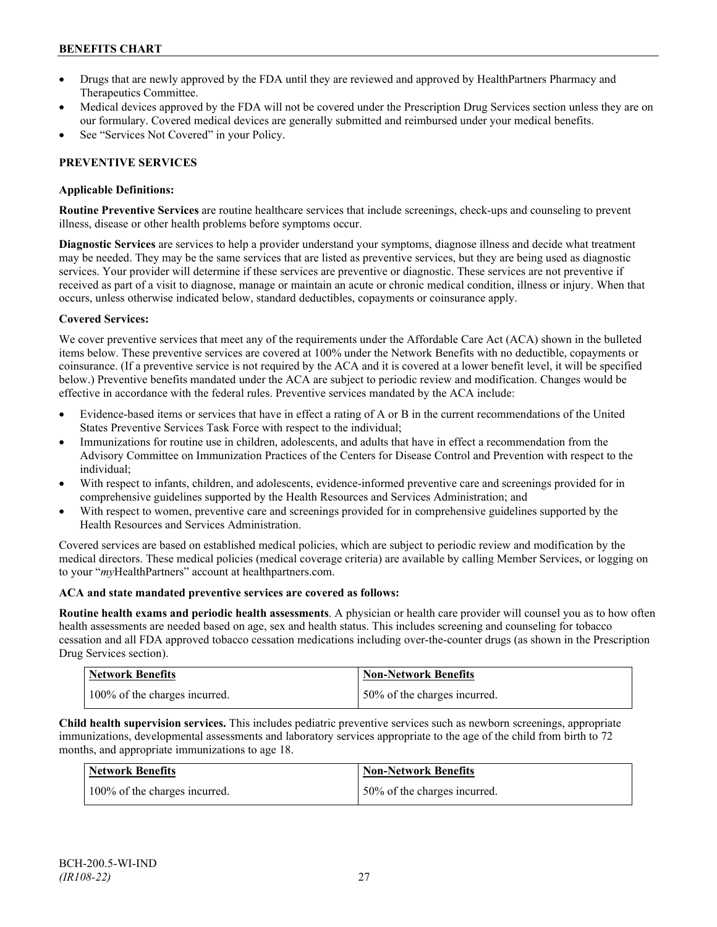- Drugs that are newly approved by the FDA until they are reviewed and approved by HealthPartners Pharmacy and Therapeutics Committee.
- Medical devices approved by the FDA will not be covered under the Prescription Drug Services section unless they are on our formulary. Covered medical devices are generally submitted and reimbursed under your medical benefits.
- See "Services Not Covered" in your Policy.

## **PREVENTIVE SERVICES**

## **Applicable Definitions:**

**Routine Preventive Services** are routine healthcare services that include screenings, check-ups and counseling to prevent illness, disease or other health problems before symptoms occur.

**Diagnostic Services** are services to help a provider understand your symptoms, diagnose illness and decide what treatment may be needed. They may be the same services that are listed as preventive services, but they are being used as diagnostic services. Your provider will determine if these services are preventive or diagnostic. These services are not preventive if received as part of a visit to diagnose, manage or maintain an acute or chronic medical condition, illness or injury. When that occurs, unless otherwise indicated below, standard deductibles, copayments or coinsurance apply.

## **Covered Services:**

We cover preventive services that meet any of the requirements under the Affordable Care Act (ACA) shown in the bulleted items below. These preventive services are covered at 100% under the Network Benefits with no deductible, copayments or coinsurance. (If a preventive service is not required by the ACA and it is covered at a lower benefit level, it will be specified below.) Preventive benefits mandated under the ACA are subject to periodic review and modification. Changes would be effective in accordance with the federal rules. Preventive services mandated by the ACA include:

- Evidence-based items or services that have in effect a rating of A or B in the current recommendations of the United States Preventive Services Task Force with respect to the individual;
- Immunizations for routine use in children, adolescents, and adults that have in effect a recommendation from the Advisory Committee on Immunization Practices of the Centers for Disease Control and Prevention with respect to the individual;
- With respect to infants, children, and adolescents, evidence-informed preventive care and screenings provided for in comprehensive guidelines supported by the Health Resources and Services Administration; and
- With respect to women, preventive care and screenings provided for in comprehensive guidelines supported by the Health Resources and Services Administration.

Covered services are based on established medical policies, which are subject to periodic review and modification by the medical directors. These medical policies (medical coverage criteria) are available by calling Member Services, or logging on to your "*my*HealthPartners" account at [healthpartners.com.](http://www.healthpartners.com/)

## **ACA and state mandated preventive services are covered as follows:**

**Routine health exams and periodic health assessments**. A physician or health care provider will counsel you as to how often health assessments are needed based on age, sex and health status. This includes screening and counseling for tobacco cessation and all FDA approved tobacco cessation medications including over-the-counter drugs (as shown in the Prescription Drug Services section).

| <b>Network Benefits</b>       | Non-Network Benefits         |
|-------------------------------|------------------------------|
| 100% of the charges incurred. | 50% of the charges incurred. |

**Child health supervision services.** This includes pediatric preventive services such as newborn screenings, appropriate immunizations, developmental assessments and laboratory services appropriate to the age of the child from birth to 72 months, and appropriate immunizations to age 18.

| Network Benefits              | <b>Non-Network Benefits</b>  |
|-------------------------------|------------------------------|
| 100% of the charges incurred. | 50% of the charges incurred. |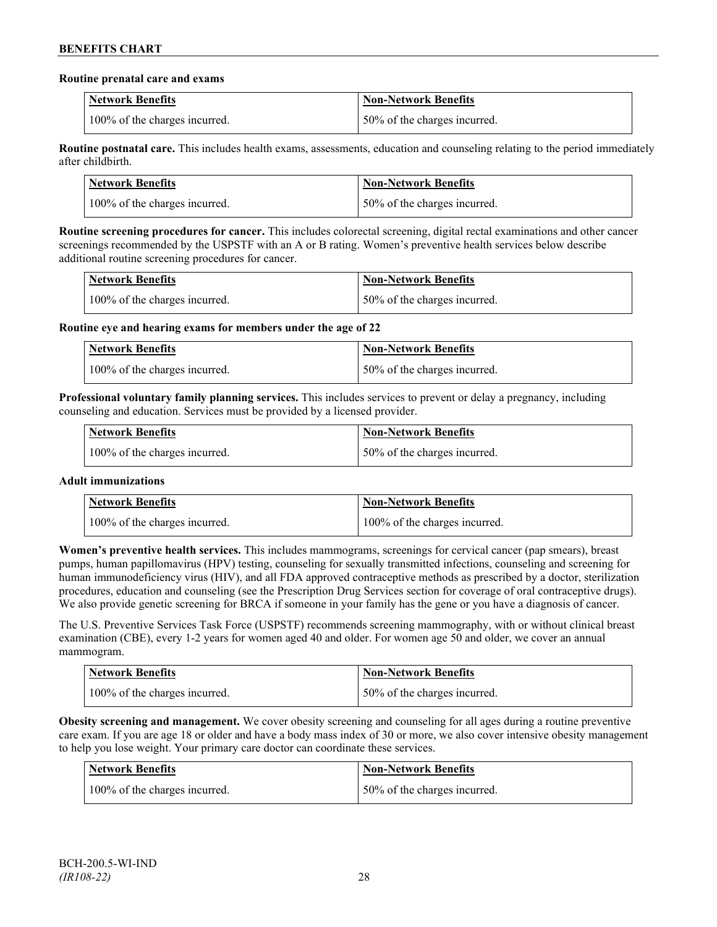### **Routine prenatal care and exams**

| <b>Network Benefits</b>       | <b>Non-Network Benefits</b>  |
|-------------------------------|------------------------------|
| 100% of the charges incurred. | 50% of the charges incurred. |

**Routine postnatal care.** This includes health exams, assessments, education and counseling relating to the period immediately after childbirth.

| <b>Network Benefits</b>       | <b>Non-Network Benefits</b>  |
|-------------------------------|------------------------------|
| 100% of the charges incurred. | 50% of the charges incurred. |

**Routine screening procedures for cancer.** This includes colorectal screening, digital rectal examinations and other cancer screenings recommended by the USPSTF with an A or B rating. Women's preventive health services below describe additional routine screening procedures for cancer.

| Network Benefits              | <b>Non-Network Benefits</b>  |
|-------------------------------|------------------------------|
| 100% of the charges incurred. | 50% of the charges incurred. |

**Routine eye and hearing exams for members under the age of 22**

| <b>Network Benefits</b>       | <b>Non-Network Benefits</b>  |
|-------------------------------|------------------------------|
| 100% of the charges incurred. | 50% of the charges incurred. |

**Professional voluntary family planning services.** This includes services to prevent or delay a pregnancy, including counseling and education. Services must be provided by a licensed provider.

| Network Benefits              | <b>Non-Network Benefits</b>  |
|-------------------------------|------------------------------|
| 100% of the charges incurred. | 50% of the charges incurred. |

## **Adult immunizations**

| <b>Network Benefits</b>       | <b>Non-Network Benefits</b>   |
|-------------------------------|-------------------------------|
| 100% of the charges incurred. | 100% of the charges incurred. |

**Women's preventive health services.** This includes mammograms, screenings for cervical cancer (pap smears), breast pumps, human papillomavirus (HPV) testing, counseling for sexually transmitted infections, counseling and screening for human immunodeficiency virus (HIV), and all FDA approved contraceptive methods as prescribed by a doctor, sterilization procedures, education and counseling (see the Prescription Drug Services section for coverage of oral contraceptive drugs). We also provide genetic screening for BRCA if someone in your family has the gene or you have a diagnosis of cancer.

The U.S. Preventive Services Task Force (USPSTF) recommends screening mammography, with or without clinical breast examination (CBE), every 1-2 years for women aged 40 and older. For women age 50 and older, we cover an annual mammogram.

| <b>Network Benefits</b>       | <b>Non-Network Benefits</b>   |
|-------------------------------|-------------------------------|
| 100% of the charges incurred. | 150% of the charges incurred. |

**Obesity screening and management.** We cover obesity screening and counseling for all ages during a routine preventive care exam. If you are age 18 or older and have a body mass index of 30 or more, we also cover intensive obesity management to help you lose weight. Your primary care doctor can coordinate these services.

| Network Benefits              | <b>Non-Network Benefits</b>  |
|-------------------------------|------------------------------|
| 100% of the charges incurred. | 50% of the charges incurred. |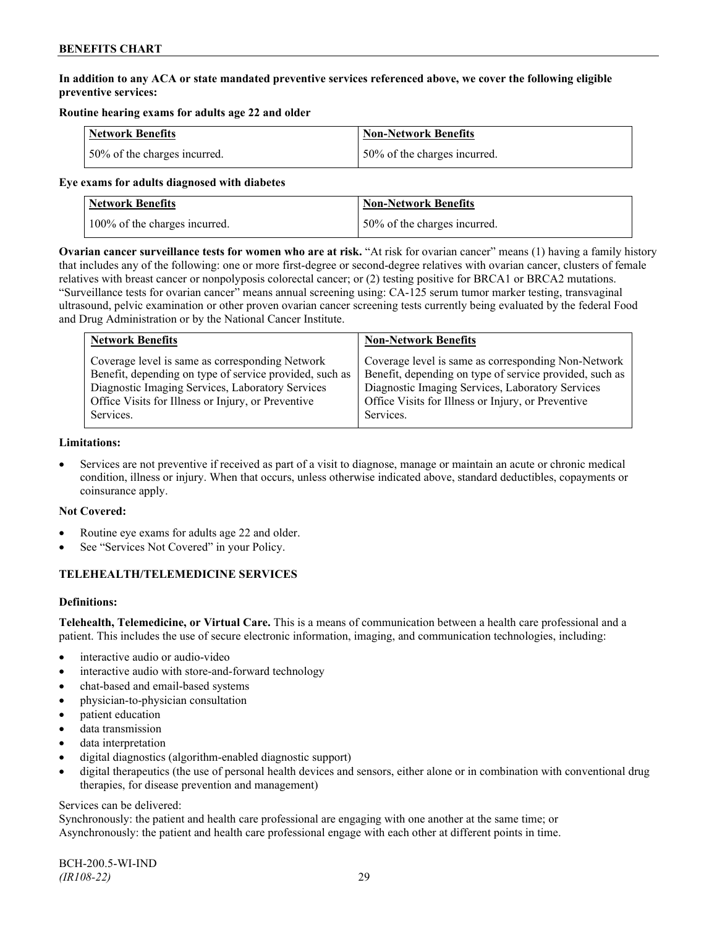## **In addition to any ACA or state mandated preventive services referenced above, we cover the following eligible preventive services:**

## **Routine hearing exams for adults age 22 and older**

| <b>Network Benefits</b>      | <b>Non-Network Benefits</b>  |
|------------------------------|------------------------------|
| 50% of the charges incurred. | 50% of the charges incurred. |

### **Eye exams for adults diagnosed with diabetes**

| Network Benefits              | <b>Non-Network Benefits</b>  |
|-------------------------------|------------------------------|
| 100% of the charges incurred. | 50% of the charges incurred. |

**Ovarian cancer surveillance tests for women who are at risk.** "At risk for ovarian cancer" means (1) having a family history that includes any of the following: one or more first-degree or second-degree relatives with ovarian cancer, clusters of female relatives with breast cancer or nonpolyposis colorectal cancer; or (2) testing positive for BRCA1 or BRCA2 mutations. "Surveillance tests for ovarian cancer" means annual screening using: CA-125 serum tumor marker testing, transvaginal ultrasound, pelvic examination or other proven ovarian cancer screening tests currently being evaluated by the federal Food and Drug Administration or by the National Cancer Institute.

| <b>Network Benefits</b>                                 | <b>Non-Network Benefits</b>                             |
|---------------------------------------------------------|---------------------------------------------------------|
| Coverage level is same as corresponding Network         | Coverage level is same as corresponding Non-Network     |
| Benefit, depending on type of service provided, such as | Benefit, depending on type of service provided, such as |
| Diagnostic Imaging Services, Laboratory Services        | Diagnostic Imaging Services, Laboratory Services        |
| Office Visits for Illness or Injury, or Preventive      | Office Visits for Illness or Injury, or Preventive      |
| Services.                                               | Services.                                               |

#### **Limitations:**

• Services are not preventive if received as part of a visit to diagnose, manage or maintain an acute or chronic medical condition, illness or injury. When that occurs, unless otherwise indicated above, standard deductibles, copayments or coinsurance apply.

## **Not Covered:**

- Routine eye exams for adults age 22 and older.
- See "Services Not Covered" in your Policy.

## **TELEHEALTH/TELEMEDICINE SERVICES**

## **Definitions:**

**Telehealth, Telemedicine, or Virtual Care.** This is a means of communication between a health care professional and a patient. This includes the use of secure electronic information, imaging, and communication technologies, including:

- interactive audio or audio-video
- interactive audio with store-and-forward technology
- chat-based and email-based systems
- physician-to-physician consultation
- patient education
- data transmission
- data interpretation
- digital diagnostics (algorithm-enabled diagnostic support)
- digital therapeutics (the use of personal health devices and sensors, either alone or in combination with conventional drug therapies, for disease prevention and management)

#### Services can be delivered:

Synchronously: the patient and health care professional are engaging with one another at the same time; or Asynchronously: the patient and health care professional engage with each other at different points in time.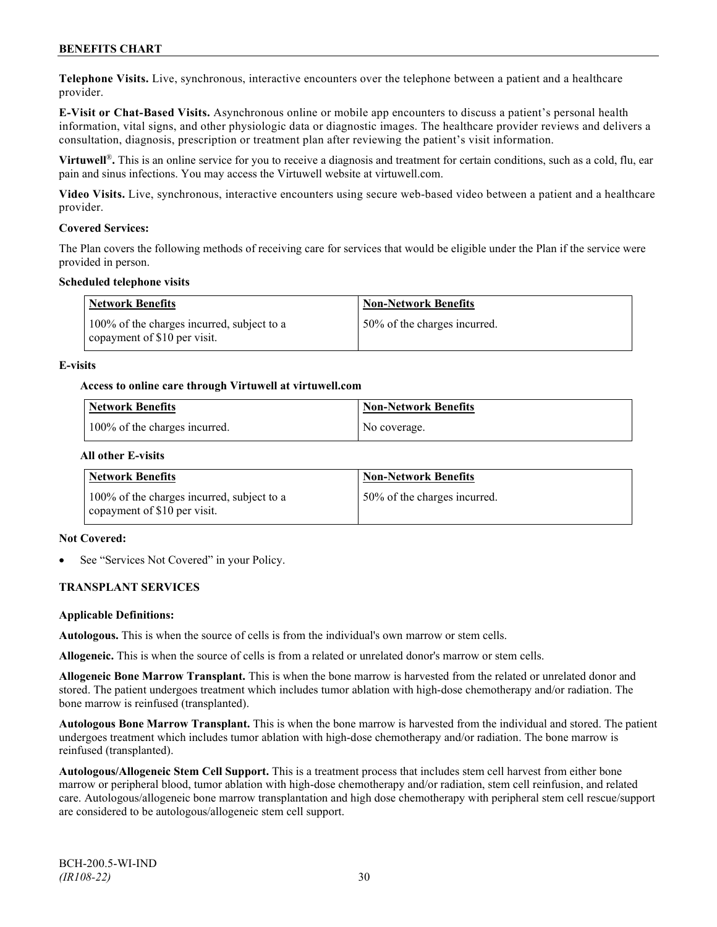**Telephone Visits.** Live, synchronous, interactive encounters over the telephone between a patient and a healthcare provider.

**E-Visit or Chat-Based Visits.** Asynchronous online or mobile app encounters to discuss a patient's personal health information, vital signs, and other physiologic data or diagnostic images. The healthcare provider reviews and delivers a consultation, diagnosis, prescription or treatment plan after reviewing the patient's visit information.

**Virtuwell<sup>®</sup>**. This is an online service for you to receive a diagnosis and treatment for certain conditions, such as a cold, flu, ear pain and sinus infections. You may access the Virtuwell website at [virtuwell.com.](https://www.virtuwell.com/)

**Video Visits.** Live, synchronous, interactive encounters using secure web-based video between a patient and a healthcare provider.

### **Covered Services:**

The Plan covers the following methods of receiving care for services that would be eligible under the Plan if the service were provided in person.

### **Scheduled telephone visits**

| <b>Network Benefits</b>                                                    | <b>Non-Network Benefits</b>  |
|----------------------------------------------------------------------------|------------------------------|
| 100% of the charges incurred, subject to a<br>copayment of \$10 per visit. | 50% of the charges incurred. |

### **E-visits**

### **Access to online care through Virtuwell at [virtuwell.com](http://www.virtuwell.com/)**

| Network Benefits              | <b>Non-Network Benefits</b> |
|-------------------------------|-----------------------------|
| 100% of the charges incurred. | No coverage.                |

### **All other E-visits**

| Network Benefits                                                              | <b>Non-Network Benefits</b>  |
|-------------------------------------------------------------------------------|------------------------------|
| 100% of the charges incurred, subject to a<br>I copayment of $$10$ per visit. | 50% of the charges incurred. |

#### **Not Covered:**

See "Services Not Covered" in your Policy.

## **TRANSPLANT SERVICES**

#### **Applicable Definitions:**

**Autologous.** This is when the source of cells is from the individual's own marrow or stem cells.

**Allogeneic.** This is when the source of cells is from a related or unrelated donor's marrow or stem cells.

**Allogeneic Bone Marrow Transplant.** This is when the bone marrow is harvested from the related or unrelated donor and stored. The patient undergoes treatment which includes tumor ablation with high-dose chemotherapy and/or radiation. The bone marrow is reinfused (transplanted).

**Autologous Bone Marrow Transplant.** This is when the bone marrow is harvested from the individual and stored. The patient undergoes treatment which includes tumor ablation with high-dose chemotherapy and/or radiation. The bone marrow is reinfused (transplanted).

**Autologous/Allogeneic Stem Cell Support.** This is a treatment process that includes stem cell harvest from either bone marrow or peripheral blood, tumor ablation with high-dose chemotherapy and/or radiation, stem cell reinfusion, and related care. Autologous/allogeneic bone marrow transplantation and high dose chemotherapy with peripheral stem cell rescue/support are considered to be autologous/allogeneic stem cell support.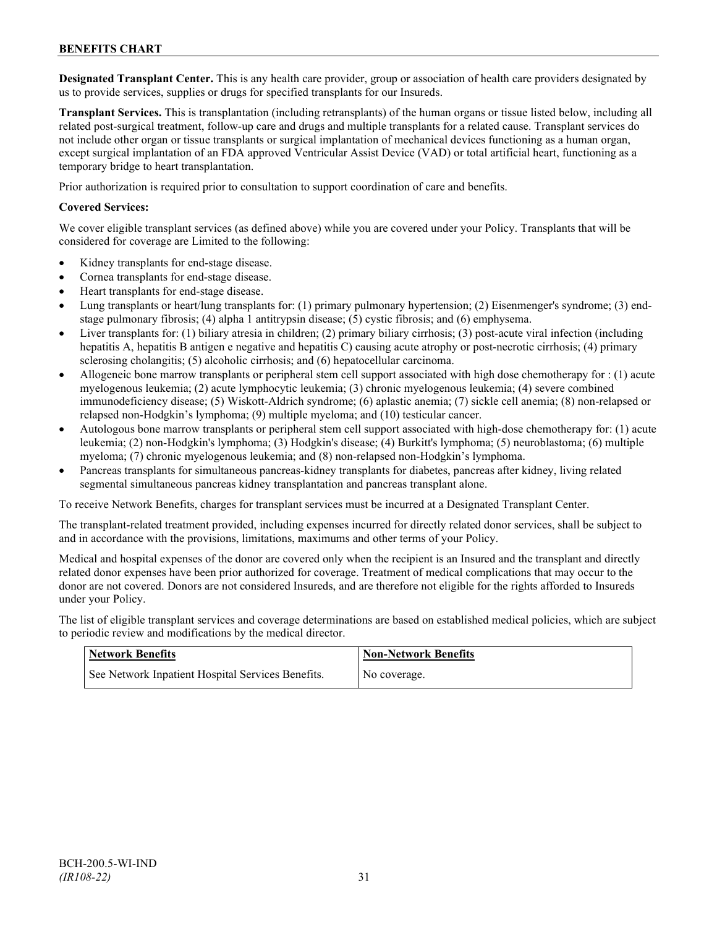**Designated Transplant Center.** This is any health care provider, group or association of health care providers designated by us to provide services, supplies or drugs for specified transplants for our Insureds.

**Transplant Services.** This is transplantation (including retransplants) of the human organs or tissue listed below, including all related post-surgical treatment, follow-up care and drugs and multiple transplants for a related cause. Transplant services do not include other organ or tissue transplants or surgical implantation of mechanical devices functioning as a human organ, except surgical implantation of an FDA approved Ventricular Assist Device (VAD) or total artificial heart, functioning as a temporary bridge to heart transplantation.

Prior authorization is required prior to consultation to support coordination of care and benefits.

### **Covered Services:**

We cover eligible transplant services (as defined above) while you are covered under your Policy. Transplants that will be considered for coverage are Limited to the following:

- Kidney transplants for end-stage disease.
- Cornea transplants for end-stage disease.
- Heart transplants for end-stage disease.
- Lung transplants or heart/lung transplants for: (1) primary pulmonary hypertension; (2) Eisenmenger's syndrome; (3) endstage pulmonary fibrosis; (4) alpha 1 antitrypsin disease; (5) cystic fibrosis; and (6) emphysema.
- Liver transplants for: (1) biliary atresia in children; (2) primary biliary cirrhosis; (3) post-acute viral infection (including hepatitis A, hepatitis B antigen e negative and hepatitis C) causing acute atrophy or post-necrotic cirrhosis; (4) primary sclerosing cholangitis; (5) alcoholic cirrhosis; and (6) hepatocellular carcinoma.
- Allogeneic bone marrow transplants or peripheral stem cell support associated with high dose chemotherapy for : (1) acute myelogenous leukemia; (2) acute lymphocytic leukemia; (3) chronic myelogenous leukemia; (4) severe combined immunodeficiency disease; (5) Wiskott-Aldrich syndrome; (6) aplastic anemia; (7) sickle cell anemia; (8) non-relapsed or relapsed non-Hodgkin's lymphoma; (9) multiple myeloma; and (10) testicular cancer.
- Autologous bone marrow transplants or peripheral stem cell support associated with high-dose chemotherapy for: (1) acute leukemia; (2) non-Hodgkin's lymphoma; (3) Hodgkin's disease; (4) Burkitt's lymphoma; (5) neuroblastoma; (6) multiple myeloma; (7) chronic myelogenous leukemia; and (8) non-relapsed non-Hodgkin's lymphoma.
- Pancreas transplants for simultaneous pancreas-kidney transplants for diabetes, pancreas after kidney, living related segmental simultaneous pancreas kidney transplantation and pancreas transplant alone.

To receive Network Benefits, charges for transplant services must be incurred at a Designated Transplant Center.

The transplant-related treatment provided, including expenses incurred for directly related donor services, shall be subject to and in accordance with the provisions, limitations, maximums and other terms of your Policy.

Medical and hospital expenses of the donor are covered only when the recipient is an Insured and the transplant and directly related donor expenses have been prior authorized for coverage. Treatment of medical complications that may occur to the donor are not covered. Donors are not considered Insureds, and are therefore not eligible for the rights afforded to Insureds under your Policy.

The list of eligible transplant services and coverage determinations are based on established medical policies, which are subject to periodic review and modifications by the medical director.

| <b>Network Benefits</b>                           | <b>Non-Network Benefits</b> |
|---------------------------------------------------|-----------------------------|
| See Network Inpatient Hospital Services Benefits. | No coverage.                |